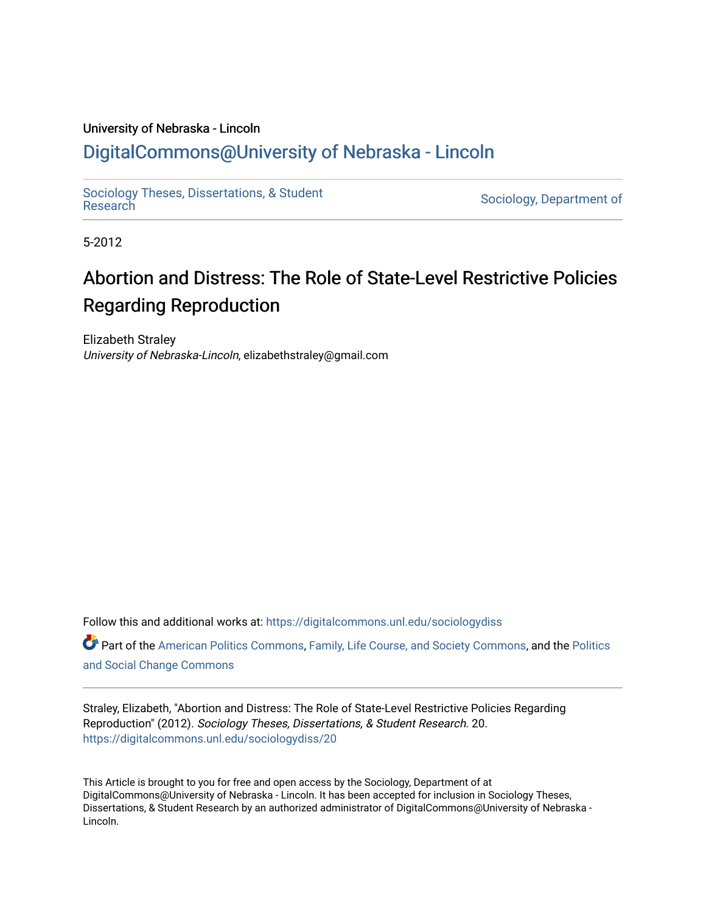## University of Nebraska - Lincoln [DigitalCommons@University of Nebraska - Lincoln](https://digitalcommons.unl.edu/)

[Sociology Theses, Dissertations, & Student](https://digitalcommons.unl.edu/sociologydiss)

Sociology, Department of

5-2012

# Abortion and Distress: The Role of State-Level Restrictive Policies Regarding Reproduction

Elizabeth Straley University of Nebraska-Lincoln, elizabethstraley@gmail.com

Follow this and additional works at: [https://digitalcommons.unl.edu/sociologydiss](https://digitalcommons.unl.edu/sociologydiss?utm_source=digitalcommons.unl.edu%2Fsociologydiss%2F20&utm_medium=PDF&utm_campaign=PDFCoverPages)  Part of the [American Politics Commons,](http://network.bepress.com/hgg/discipline/387?utm_source=digitalcommons.unl.edu%2Fsociologydiss%2F20&utm_medium=PDF&utm_campaign=PDFCoverPages) [Family, Life Course, and Society Commons](http://network.bepress.com/hgg/discipline/419?utm_source=digitalcommons.unl.edu%2Fsociologydiss%2F20&utm_medium=PDF&utm_campaign=PDFCoverPages), and the [Politics](http://network.bepress.com/hgg/discipline/425?utm_source=digitalcommons.unl.edu%2Fsociologydiss%2F20&utm_medium=PDF&utm_campaign=PDFCoverPages) [and Social Change Commons](http://network.bepress.com/hgg/discipline/425?utm_source=digitalcommons.unl.edu%2Fsociologydiss%2F20&utm_medium=PDF&utm_campaign=PDFCoverPages)

Straley, Elizabeth, "Abortion and Distress: The Role of State-Level Restrictive Policies Regarding Reproduction" (2012). Sociology Theses, Dissertations, & Student Research. 20. [https://digitalcommons.unl.edu/sociologydiss/20](https://digitalcommons.unl.edu/sociologydiss/20?utm_source=digitalcommons.unl.edu%2Fsociologydiss%2F20&utm_medium=PDF&utm_campaign=PDFCoverPages)

This Article is brought to you for free and open access by the Sociology, Department of at DigitalCommons@University of Nebraska - Lincoln. It has been accepted for inclusion in Sociology Theses, Dissertations, & Student Research by an authorized administrator of DigitalCommons@University of Nebraska -Lincoln.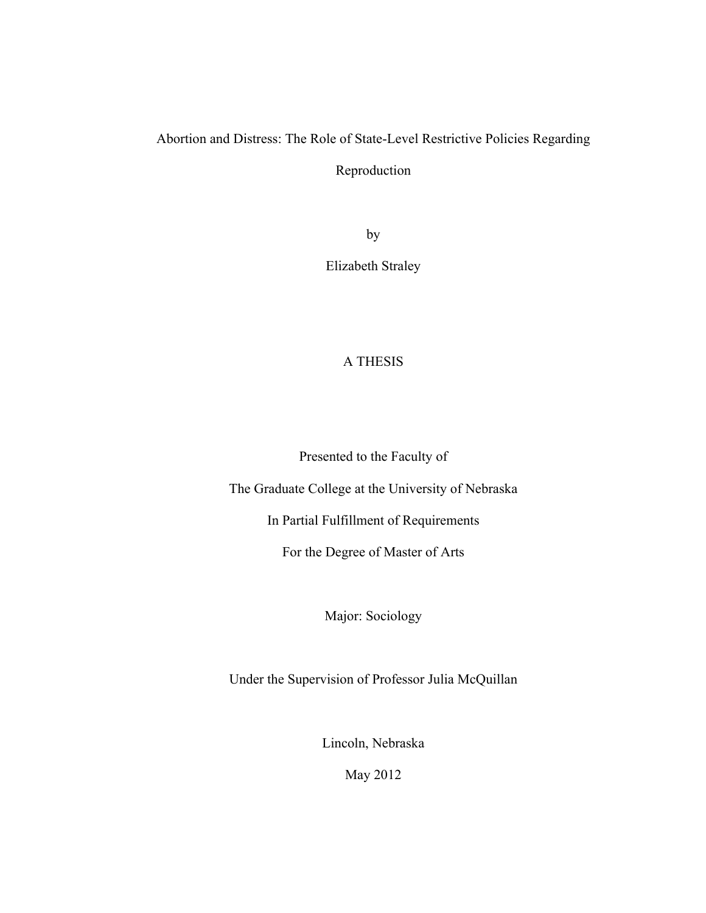# Abortion and Distress: The Role of State-Level Restrictive Policies Regarding

Reproduction

by

Elizabeth Straley

## A THESIS

Presented to the Faculty of

The Graduate College at the University of Nebraska

In Partial Fulfillment of Requirements

For the Degree of Master of Arts

Major: Sociology

Under the Supervision of Professor Julia McQuillan

Lincoln, Nebraska

May 2012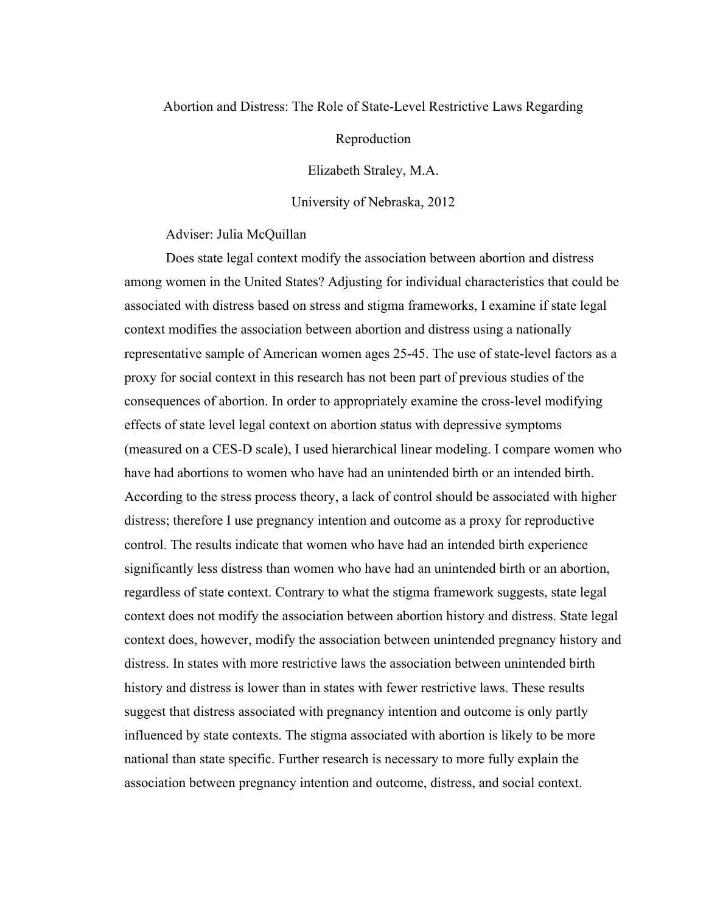## Abortion and Distress: The Role of State-Level Restrictive Laws Regarding

Reproduction

Elizabeth Straley, M.A.

University of Nebraska, 2012

Adviser: Julia McQuillan

Does state legal context modify the association between abortion and distress among women in the United States? Adjusting for individual characteristics that could be associated with distress based on stress and stigma frameworks, I examine if state legal context modifies the association between abortion and distress using a nationally representative sample of American women ages 25-45. The use of state-level factors as a proxy for social context in this research has not been part of previous studies of the consequences of abortion. In order to appropriately examine the cross-level modifying effects of state level legal context on abortion status with depressive symptoms (measured on a CES-D scale), I used hierarchical linear modeling. I compare women who have had abortions to women who have had an unintended birth or an intended birth. According to the stress process theory, a lack of control should be associated with higher distress; therefore I use pregnancy intention and outcome as a proxy for reproductive control. The results indicate that women who have had an intended birth experience significantly less distress than women who have had an unintended birth or an abortion, regardless of state context. Contrary to what the stigma framework suggests, state legal context does not modify the association between abortion history and distress. State legal context does, however, modify the association between unintended pregnancy history and distress. In states with more restrictive laws the association between unintended birth history and distress is lower than in states with fewer restrictive laws. These results suggest that distress associated with pregnancy intention and outcome is only partly influenced by state contexts. The stigma associated with abortion is likely to be more national than state specific. Further research is necessary to more fully explain the association between pregnancy intention and outcome, distress, and social context.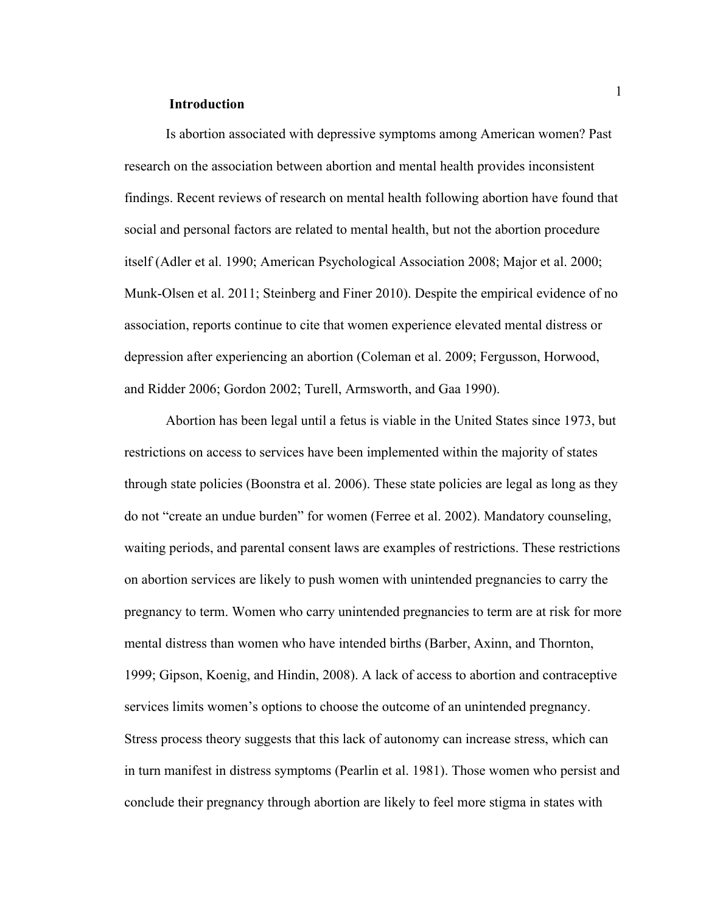## **Introduction**

Is abortion associated with depressive symptoms among American women? Past research on the association between abortion and mental health provides inconsistent findings. Recent reviews of research on mental health following abortion have found that social and personal factors are related to mental health, but not the abortion procedure itself (Adler et al. 1990; American Psychological Association 2008; Major et al. 2000; Munk-Olsen et al. 2011; Steinberg and Finer 2010). Despite the empirical evidence of no association, reports continue to cite that women experience elevated mental distress or depression after experiencing an abortion (Coleman et al. 2009; Fergusson, Horwood, and Ridder 2006; Gordon 2002; Turell, Armsworth, and Gaa 1990).

Abortion has been legal until a fetus is viable in the United States since 1973, but restrictions on access to services have been implemented within the majority of states through state policies (Boonstra et al. 2006). These state policies are legal as long as they do not "create an undue burden" for women (Ferree et al. 2002). Mandatory counseling, waiting periods, and parental consent laws are examples of restrictions. These restrictions on abortion services are likely to push women with unintended pregnancies to carry the pregnancy to term. Women who carry unintended pregnancies to term are at risk for more mental distress than women who have intended births (Barber, Axinn, and Thornton, 1999; Gipson, Koenig, and Hindin, 2008). A lack of access to abortion and contraceptive services limits women's options to choose the outcome of an unintended pregnancy. Stress process theory suggests that this lack of autonomy can increase stress, which can in turn manifest in distress symptoms (Pearlin et al. 1981). Those women who persist and conclude their pregnancy through abortion are likely to feel more stigma in states with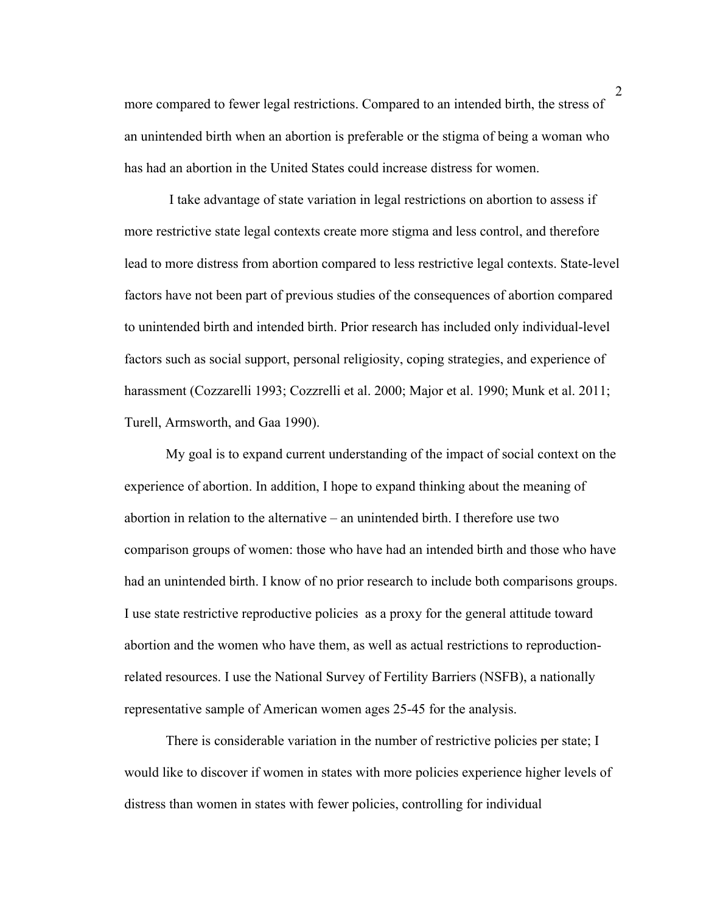more compared to fewer legal restrictions. Compared to an intended birth, the stress of an unintended birth when an abortion is preferable or the stigma of being a woman who has had an abortion in the United States could increase distress for women.

I take advantage of state variation in legal restrictions on abortion to assess if more restrictive state legal contexts create more stigma and less control, and therefore lead to more distress from abortion compared to less restrictive legal contexts. State-level factors have not been part of previous studies of the consequences of abortion compared to unintended birth and intended birth. Prior research has included only individual-level factors such as social support, personal religiosity, coping strategies, and experience of harassment (Cozzarelli 1993; Cozzrelli et al. 2000; Major et al. 1990; Munk et al. 2011; Turell, Armsworth, and Gaa 1990).

My goal is to expand current understanding of the impact of social context on the experience of abortion. In addition, I hope to expand thinking about the meaning of abortion in relation to the alternative – an unintended birth. I therefore use two comparison groups of women: those who have had an intended birth and those who have had an unintended birth. I know of no prior research to include both comparisons groups. I use state restrictive reproductive policies as a proxy for the general attitude toward abortion and the women who have them, as well as actual restrictions to reproductionrelated resources. I use the National Survey of Fertility Barriers (NSFB), a nationally representative sample of American women ages 25-45 for the analysis.

There is considerable variation in the number of restrictive policies per state; I would like to discover if women in states with more policies experience higher levels of distress than women in states with fewer policies, controlling for individual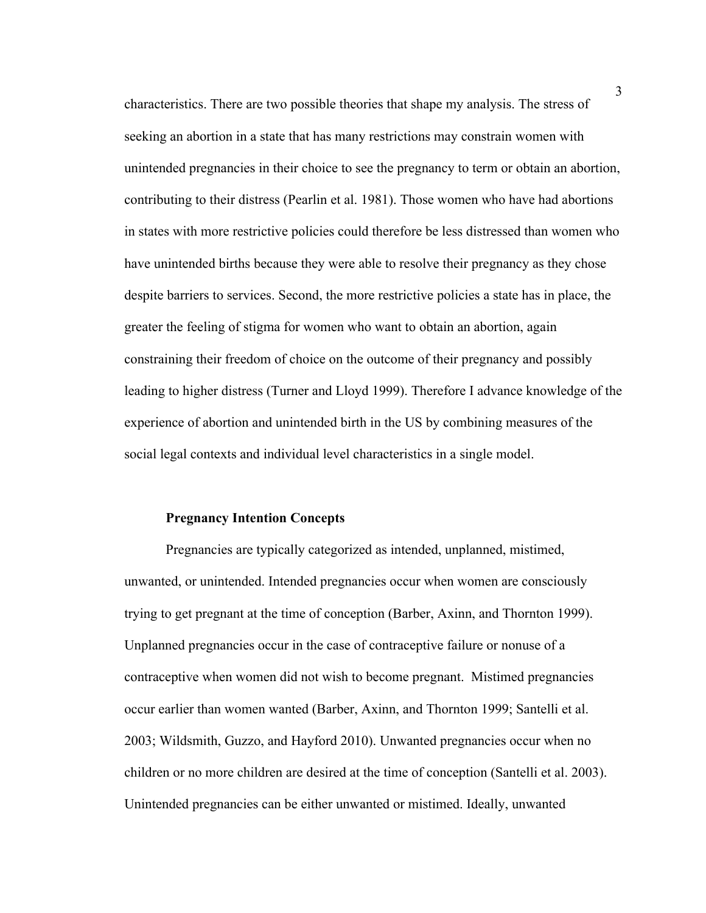characteristics. There are two possible theories that shape my analysis. The stress of seeking an abortion in a state that has many restrictions may constrain women with unintended pregnancies in their choice to see the pregnancy to term or obtain an abortion, contributing to their distress (Pearlin et al. 1981). Those women who have had abortions in states with more restrictive policies could therefore be less distressed than women who have unintended births because they were able to resolve their pregnancy as they chose despite barriers to services. Second, the more restrictive policies a state has in place, the greater the feeling of stigma for women who want to obtain an abortion, again constraining their freedom of choice on the outcome of their pregnancy and possibly leading to higher distress (Turner and Lloyd 1999). Therefore I advance knowledge of the experience of abortion and unintended birth in the US by combining measures of the social legal contexts and individual level characteristics in a single model.

#### **Pregnancy Intention Concepts**

Pregnancies are typically categorized as intended, unplanned, mistimed, unwanted, or unintended. Intended pregnancies occur when women are consciously trying to get pregnant at the time of conception (Barber, Axinn, and Thornton 1999). Unplanned pregnancies occur in the case of contraceptive failure or nonuse of a contraceptive when women did not wish to become pregnant. Mistimed pregnancies occur earlier than women wanted (Barber, Axinn, and Thornton 1999; Santelli et al. 2003; Wildsmith, Guzzo, and Hayford 2010). Unwanted pregnancies occur when no children or no more children are desired at the time of conception (Santelli et al. 2003). Unintended pregnancies can be either unwanted or mistimed. Ideally, unwanted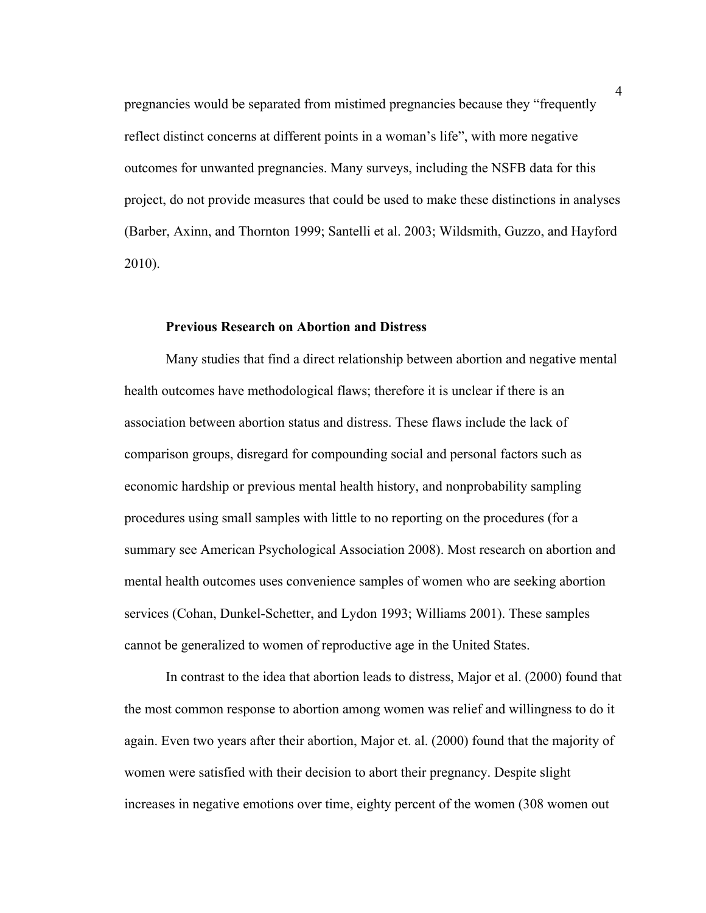pregnancies would be separated from mistimed pregnancies because they "frequently reflect distinct concerns at different points in a woman's life", with more negative outcomes for unwanted pregnancies. Many surveys, including the NSFB data for this project, do not provide measures that could be used to make these distinctions in analyses (Barber, Axinn, and Thornton 1999; Santelli et al. 2003; Wildsmith, Guzzo, and Hayford 2010).

#### **Previous Research on Abortion and Distress**

Many studies that find a direct relationship between abortion and negative mental health outcomes have methodological flaws; therefore it is unclear if there is an association between abortion status and distress. These flaws include the lack of comparison groups, disregard for compounding social and personal factors such as economic hardship or previous mental health history, and nonprobability sampling procedures using small samples with little to no reporting on the procedures (for a summary see American Psychological Association 2008). Most research on abortion and mental health outcomes uses convenience samples of women who are seeking abortion services (Cohan, Dunkel-Schetter, and Lydon 1993; Williams 2001). These samples cannot be generalized to women of reproductive age in the United States.

In contrast to the idea that abortion leads to distress, Major et al. (2000) found that the most common response to abortion among women was relief and willingness to do it again. Even two years after their abortion, Major et. al. (2000) found that the majority of women were satisfied with their decision to abort their pregnancy. Despite slight increases in negative emotions over time, eighty percent of the women (308 women out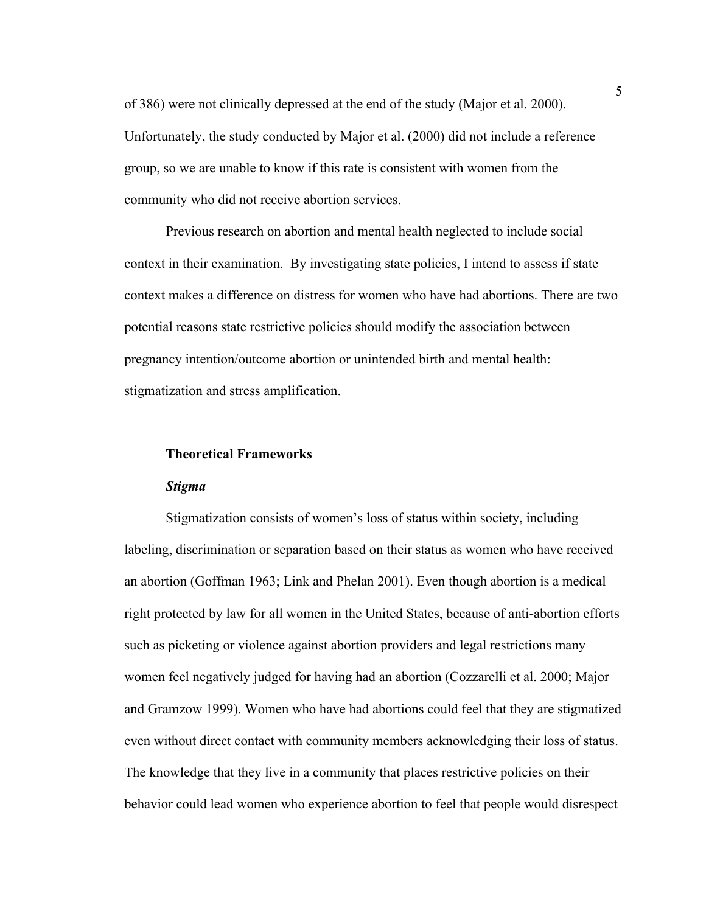of 386) were not clinically depressed at the end of the study (Major et al. 2000). Unfortunately, the study conducted by Major et al. (2000) did not include a reference group, so we are unable to know if this rate is consistent with women from the community who did not receive abortion services.

Previous research on abortion and mental health neglected to include social context in their examination. By investigating state policies, I intend to assess if state context makes a difference on distress for women who have had abortions. There are two potential reasons state restrictive policies should modify the association between pregnancy intention/outcome abortion or unintended birth and mental health: stigmatization and stress amplification.

## **Theoretical Frameworks**

#### *Stigma*

Stigmatization consists of women's loss of status within society, including labeling, discrimination or separation based on their status as women who have received an abortion (Goffman 1963; Link and Phelan 2001). Even though abortion is a medical right protected by law for all women in the United States, because of anti-abortion efforts such as picketing or violence against abortion providers and legal restrictions many women feel negatively judged for having had an abortion (Cozzarelli et al. 2000; Major and Gramzow 1999). Women who have had abortions could feel that they are stigmatized even without direct contact with community members acknowledging their loss of status. The knowledge that they live in a community that places restrictive policies on their behavior could lead women who experience abortion to feel that people would disrespect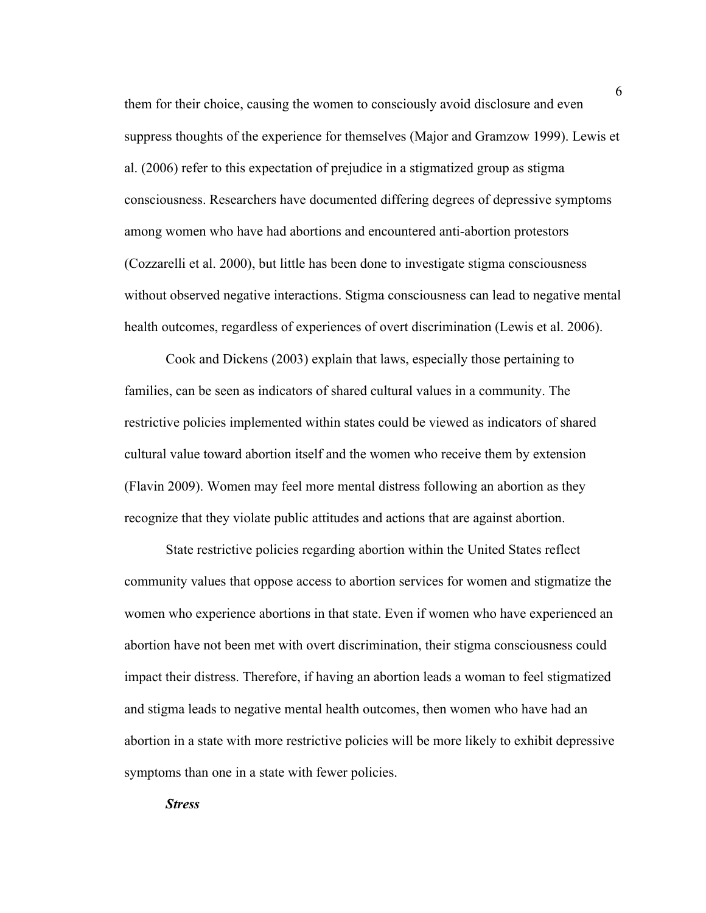them for their choice, causing the women to consciously avoid disclosure and even suppress thoughts of the experience for themselves (Major and Gramzow 1999). Lewis et al. (2006) refer to this expectation of prejudice in a stigmatized group as stigma consciousness. Researchers have documented differing degrees of depressive symptoms among women who have had abortions and encountered anti-abortion protestors (Cozzarelli et al. 2000), but little has been done to investigate stigma consciousness without observed negative interactions. Stigma consciousness can lead to negative mental health outcomes, regardless of experiences of overt discrimination (Lewis et al. 2006).

Cook and Dickens (2003) explain that laws, especially those pertaining to families, can be seen as indicators of shared cultural values in a community. The restrictive policies implemented within states could be viewed as indicators of shared cultural value toward abortion itself and the women who receive them by extension (Flavin 2009). Women may feel more mental distress following an abortion as they recognize that they violate public attitudes and actions that are against abortion.

State restrictive policies regarding abortion within the United States reflect community values that oppose access to abortion services for women and stigmatize the women who experience abortions in that state. Even if women who have experienced an abortion have not been met with overt discrimination, their stigma consciousness could impact their distress. Therefore, if having an abortion leads a woman to feel stigmatized and stigma leads to negative mental health outcomes, then women who have had an abortion in a state with more restrictive policies will be more likely to exhibit depressive symptoms than one in a state with fewer policies.

*Stress*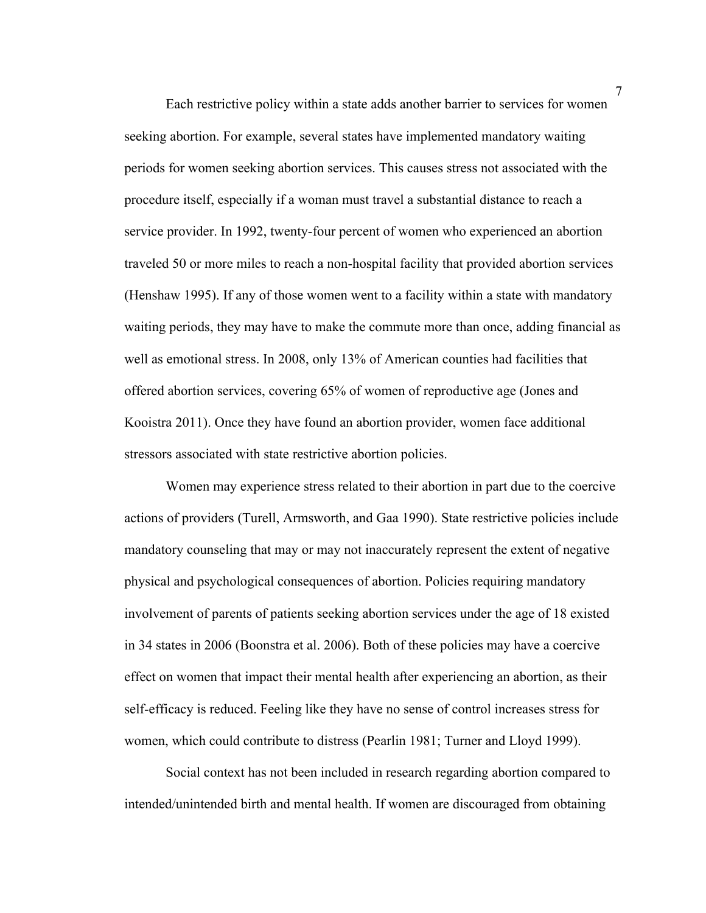Each restrictive policy within a state adds another barrier to services for women seeking abortion. For example, several states have implemented mandatory waiting periods for women seeking abortion services. This causes stress not associated with the procedure itself, especially if a woman must travel a substantial distance to reach a service provider. In 1992, twenty-four percent of women who experienced an abortion traveled 50 or more miles to reach a non-hospital facility that provided abortion services (Henshaw 1995). If any of those women went to a facility within a state with mandatory waiting periods, they may have to make the commute more than once, adding financial as well as emotional stress. In 2008, only 13% of American counties had facilities that offered abortion services, covering 65% of women of reproductive age (Jones and Kooistra 2011). Once they have found an abortion provider, women face additional stressors associated with state restrictive abortion policies.

Women may experience stress related to their abortion in part due to the coercive actions of providers (Turell, Armsworth, and Gaa 1990). State restrictive policies include mandatory counseling that may or may not inaccurately represent the extent of negative physical and psychological consequences of abortion. Policies requiring mandatory involvement of parents of patients seeking abortion services under the age of 18 existed in 34 states in 2006 (Boonstra et al. 2006). Both of these policies may have a coercive effect on women that impact their mental health after experiencing an abortion, as their self-efficacy is reduced. Feeling like they have no sense of control increases stress for women, which could contribute to distress (Pearlin 1981; Turner and Lloyd 1999).

Social context has not been included in research regarding abortion compared to intended/unintended birth and mental health. If women are discouraged from obtaining

7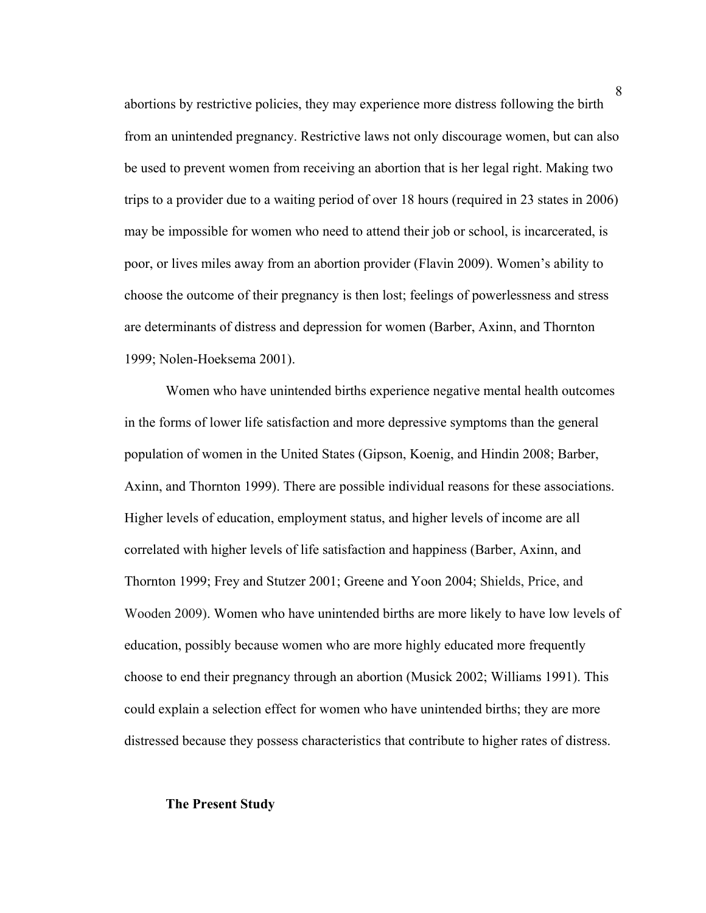abortions by restrictive policies, they may experience more distress following the birth from an unintended pregnancy. Restrictive laws not only discourage women, but can also be used to prevent women from receiving an abortion that is her legal right. Making two trips to a provider due to a waiting period of over 18 hours (required in 23 states in 2006) may be impossible for women who need to attend their job or school, is incarcerated, is poor, or lives miles away from an abortion provider (Flavin 2009). Women's ability to choose the outcome of their pregnancy is then lost; feelings of powerlessness and stress are determinants of distress and depression for women (Barber, Axinn, and Thornton 1999; Nolen-Hoeksema 2001).

Women who have unintended births experience negative mental health outcomes in the forms of lower life satisfaction and more depressive symptoms than the general population of women in the United States (Gipson, Koenig, and Hindin 2008; Barber, Axinn, and Thornton 1999). There are possible individual reasons for these associations. Higher levels of education, employment status, and higher levels of income are all correlated with higher levels of life satisfaction and happiness (Barber, Axinn, and Thornton 1999; Frey and Stutzer 2001; Greene and Yoon 2004; Shields, Price, and Wooden 2009). Women who have unintended births are more likely to have low levels of education, possibly because women who are more highly educated more frequently choose to end their pregnancy through an abortion (Musick 2002; Williams 1991). This could explain a selection effect for women who have unintended births; they are more distressed because they possess characteristics that contribute to higher rates of distress.

## **The Present Study**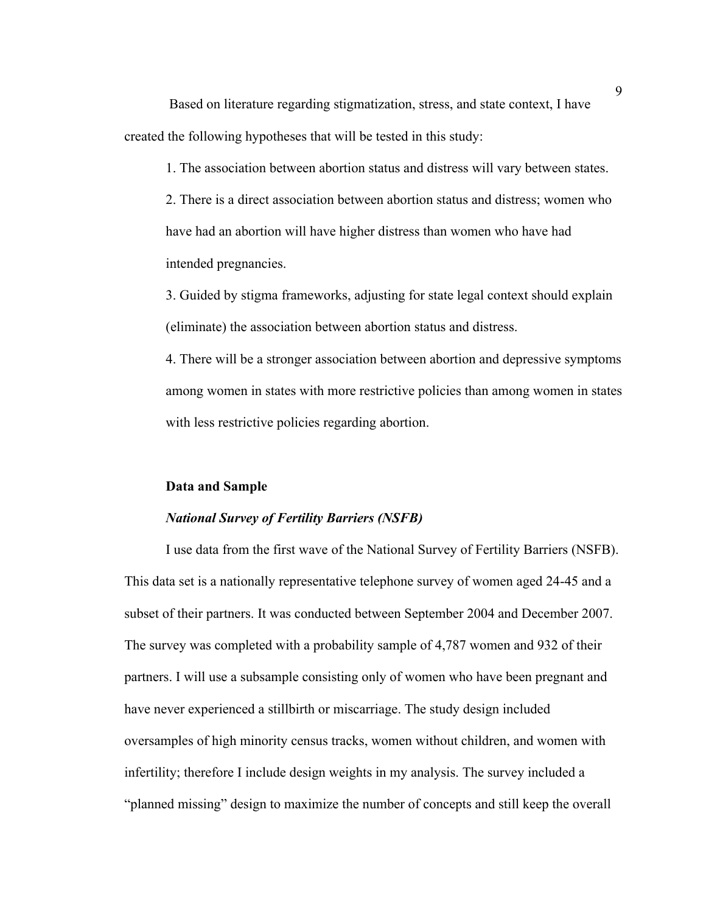Based on literature regarding stigmatization, stress, and state context, I have created the following hypotheses that will be tested in this study:

1. The association between abortion status and distress will vary between states.

2. There is a direct association between abortion status and distress; women who have had an abortion will have higher distress than women who have had intended pregnancies.

3. Guided by stigma frameworks, adjusting for state legal context should explain (eliminate) the association between abortion status and distress.

4. There will be a stronger association between abortion and depressive symptoms among women in states with more restrictive policies than among women in states with less restrictive policies regarding abortion.

#### **Data and Sample**

#### *National Survey of Fertility Barriers (NSFB)*

I use data from the first wave of the National Survey of Fertility Barriers (NSFB). This data set is a nationally representative telephone survey of women aged 24-45 and a subset of their partners. It was conducted between September 2004 and December 2007. The survey was completed with a probability sample of 4,787 women and 932 of their partners. I will use a subsample consisting only of women who have been pregnant and have never experienced a stillbirth or miscarriage. The study design included oversamples of high minority census tracks, women without children, and women with infertility; therefore I include design weights in my analysis. The survey included a "planned missing" design to maximize the number of concepts and still keep the overall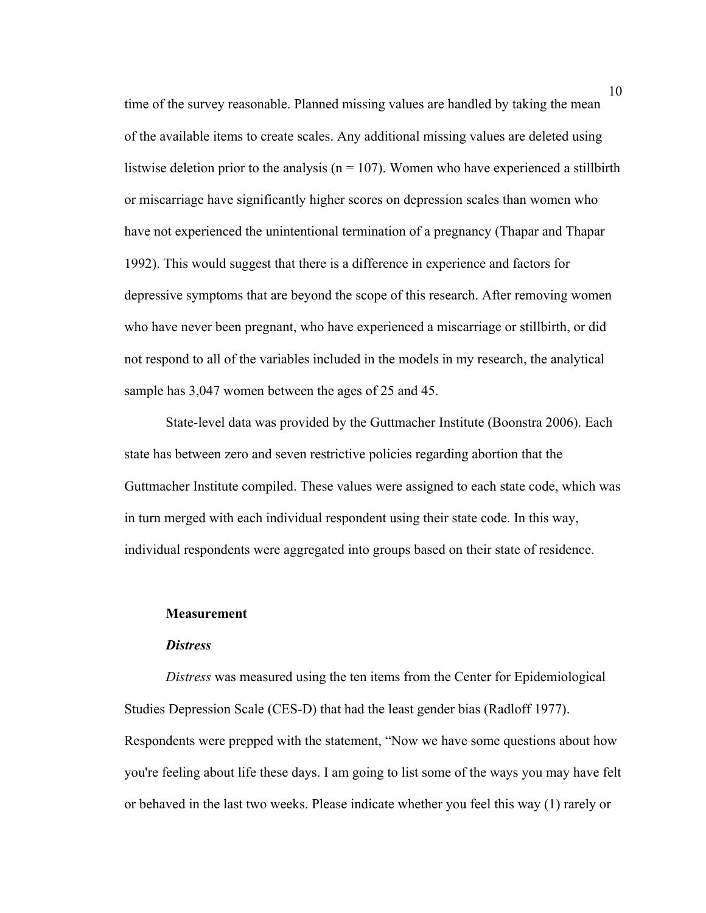time of the survey reasonable. Planned missing values are handled by taking the mean of the available items to create scales. Any additional missing values are deleted using listwise deletion prior to the analysis ( $n = 107$ ). Women who have experienced a stillbirth or miscarriage have significantly higher scores on depression scales than women who have not experienced the unintentional termination of a pregnancy (Thapar and Thapar 1992). This would suggest that there is a difference in experience and factors for depressive symptoms that are beyond the scope of this research. After removing women who have never been pregnant, who have experienced a miscarriage or stillbirth, or did not respond to all of the variables included in the models in my research, the analytical sample has 3,047 women between the ages of 25 and 45.

State-level data was provided by the Guttmacher Institute (Boonstra 2006). Each state has between zero and seven restrictive policies regarding abortion that the Guttmacher Institute compiled. These values were assigned to each state code, which was in turn merged with each individual respondent using their state code. In this way, individual respondents were aggregated into groups based on their state of residence.

#### **Measurement**

#### *Distress*

*Distress* was measured using the ten items from the Center for Epidemiological Studies Depression Scale (CES-D) that had the least gender bias (Radloff 1977). Respondents were prepped with the statement, "Now we have some questions about how you're feeling about life these days. I am going to list some of the ways you may have felt or behaved in the last two weeks. Please indicate whether you feel this way (1) rarely or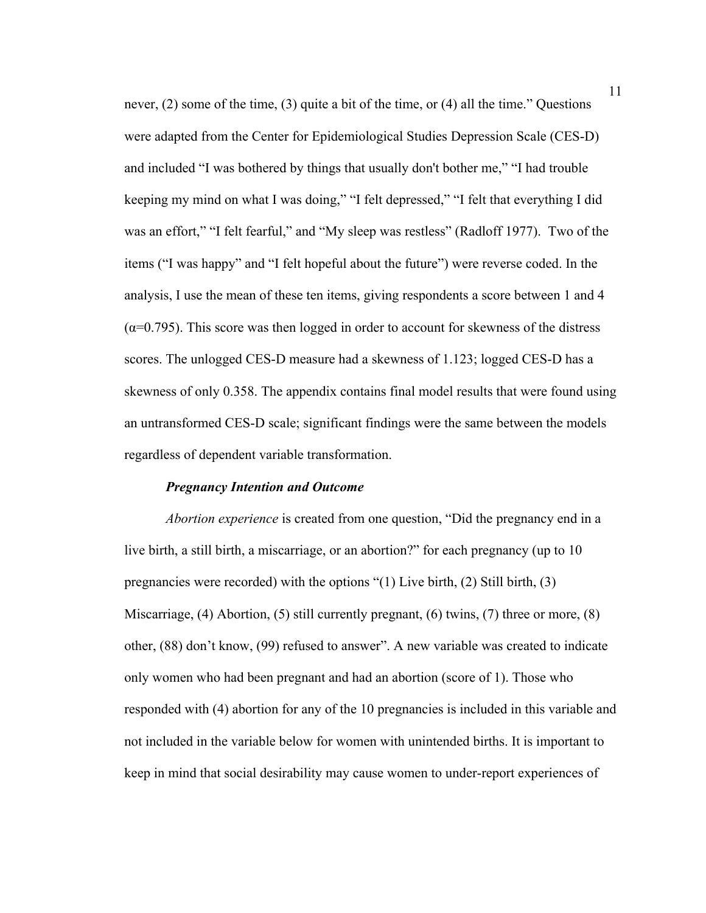never, (2) some of the time, (3) quite a bit of the time, or (4) all the time." Questions were adapted from the Center for Epidemiological Studies Depression Scale (CES-D) and included "I was bothered by things that usually don't bother me," "I had trouble keeping my mind on what I was doing," "I felt depressed," "I felt that everything I did was an effort," "I felt fearful," and "My sleep was restless" (Radloff 1977). Two of the items ("I was happy" and "I felt hopeful about the future") were reverse coded. In the analysis, I use the mean of these ten items, giving respondents a score between 1 and 4  $(\alpha=0.795)$ . This score was then logged in order to account for skewness of the distress scores. The unlogged CES-D measure had a skewness of 1.123; logged CES-D has a skewness of only 0.358. The appendix contains final model results that were found using an untransformed CES-D scale; significant findings were the same between the models regardless of dependent variable transformation.

#### *Pregnancy Intention and Outcome*

*Abortion experience* is created from one question, "Did the pregnancy end in a live birth, a still birth, a miscarriage, or an abortion?" for each pregnancy (up to 10 pregnancies were recorded) with the options "(1) Live birth, (2) Still birth, (3) Miscarriage, (4) Abortion, (5) still currently pregnant, (6) twins, (7) three or more, (8) other, (88) don't know, (99) refused to answer". A new variable was created to indicate only women who had been pregnant and had an abortion (score of 1). Those who responded with (4) abortion for any of the 10 pregnancies is included in this variable and not included in the variable below for women with unintended births. It is important to keep in mind that social desirability may cause women to under-report experiences of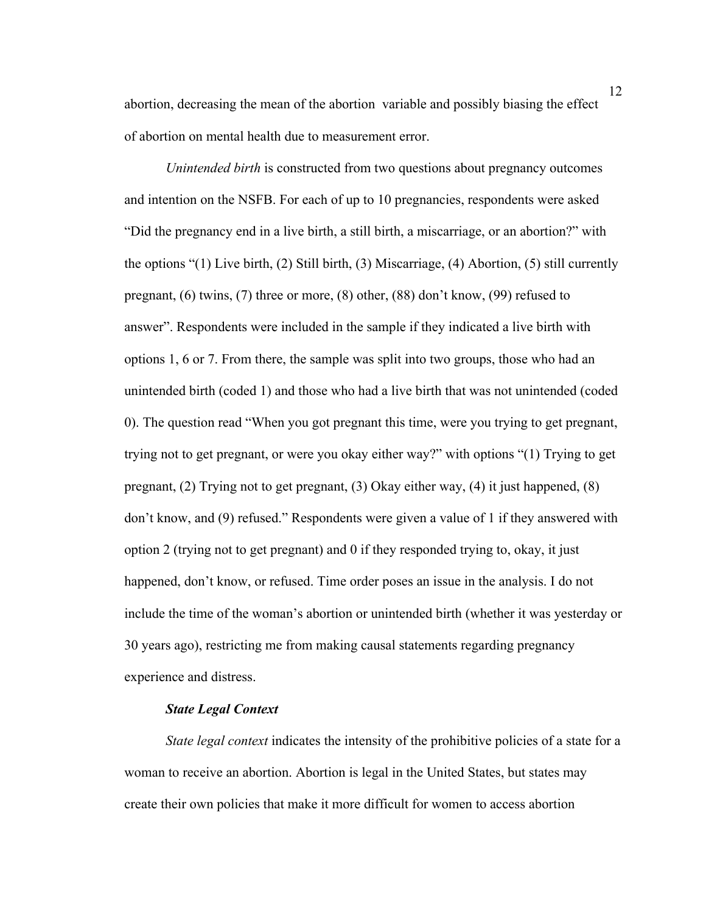abortion, decreasing the mean of the abortion variable and possibly biasing the effect of abortion on mental health due to measurement error.

*Unintended birth* is constructed from two questions about pregnancy outcomes and intention on the NSFB. For each of up to 10 pregnancies, respondents were asked "Did the pregnancy end in a live birth, a still birth, a miscarriage, or an abortion?" with the options "(1) Live birth, (2) Still birth, (3) Miscarriage, (4) Abortion, (5) still currently pregnant, (6) twins, (7) three or more, (8) other, (88) don't know, (99) refused to answer". Respondents were included in the sample if they indicated a live birth with options 1, 6 or 7. From there, the sample was split into two groups, those who had an unintended birth (coded 1) and those who had a live birth that was not unintended (coded 0). The question read "When you got pregnant this time, were you trying to get pregnant, trying not to get pregnant, or were you okay either way?" with options "(1) Trying to get pregnant, (2) Trying not to get pregnant, (3) Okay either way, (4) it just happened, (8) don't know, and (9) refused." Respondents were given a value of 1 if they answered with option 2 (trying not to get pregnant) and 0 if they responded trying to, okay, it just happened, don't know, or refused. Time order poses an issue in the analysis. I do not include the time of the woman's abortion or unintended birth (whether it was yesterday or 30 years ago), restricting me from making causal statements regarding pregnancy experience and distress.

#### *State Legal Context*

*State legal context* indicates the intensity of the prohibitive policies of a state for a woman to receive an abortion. Abortion is legal in the United States, but states may create their own policies that make it more difficult for women to access abortion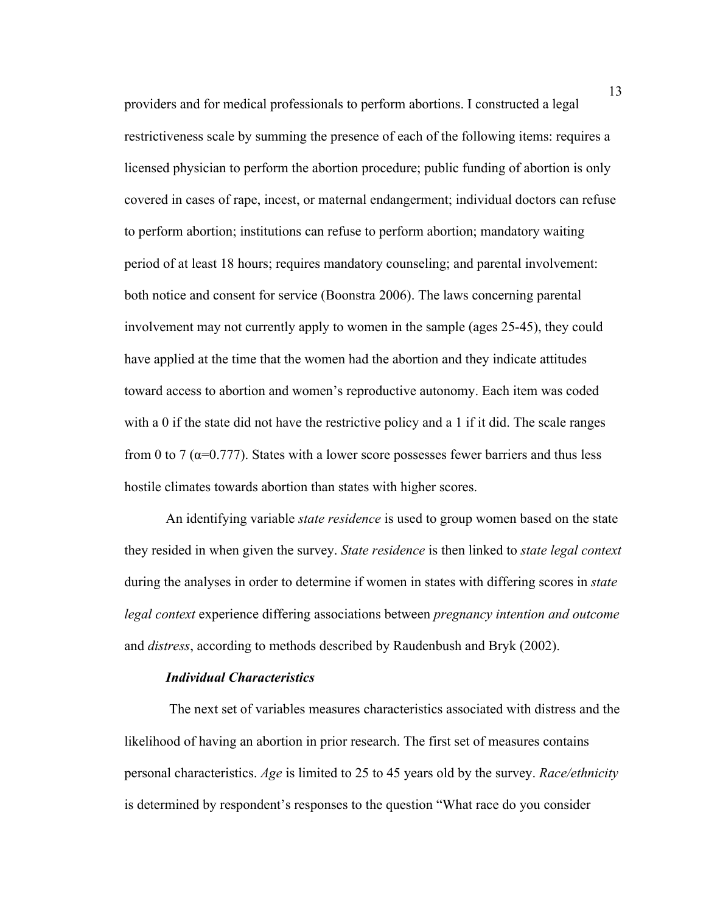providers and for medical professionals to perform abortions. I constructed a legal restrictiveness scale by summing the presence of each of the following items: requires a licensed physician to perform the abortion procedure; public funding of abortion is only covered in cases of rape, incest, or maternal endangerment; individual doctors can refuse to perform abortion; institutions can refuse to perform abortion; mandatory waiting period of at least 18 hours; requires mandatory counseling; and parental involvement: both notice and consent for service (Boonstra 2006). The laws concerning parental involvement may not currently apply to women in the sample (ages 25-45), they could have applied at the time that the women had the abortion and they indicate attitudes toward access to abortion and women's reproductive autonomy. Each item was coded with a 0 if the state did not have the restrictive policy and a 1 if it did. The scale ranges from 0 to 7 ( $\alpha$ =0.777). States with a lower score possesses fewer barriers and thus less hostile climates towards abortion than states with higher scores.

An identifying variable *state residence* is used to group women based on the state they resided in when given the survey. *State residence* is then linked to *state legal context* during the analyses in order to determine if women in states with differing scores in *state legal context* experience differing associations between *pregnancy intention and outcome*  and *distress*, according to methods described by Raudenbush and Bryk (2002).

#### *Individual Characteristics*

The next set of variables measures characteristics associated with distress and the likelihood of having an abortion in prior research. The first set of measures contains personal characteristics. *Age* is limited to 25 to 45 years old by the survey. *Race/ethnicity* is determined by respondent's responses to the question "What race do you consider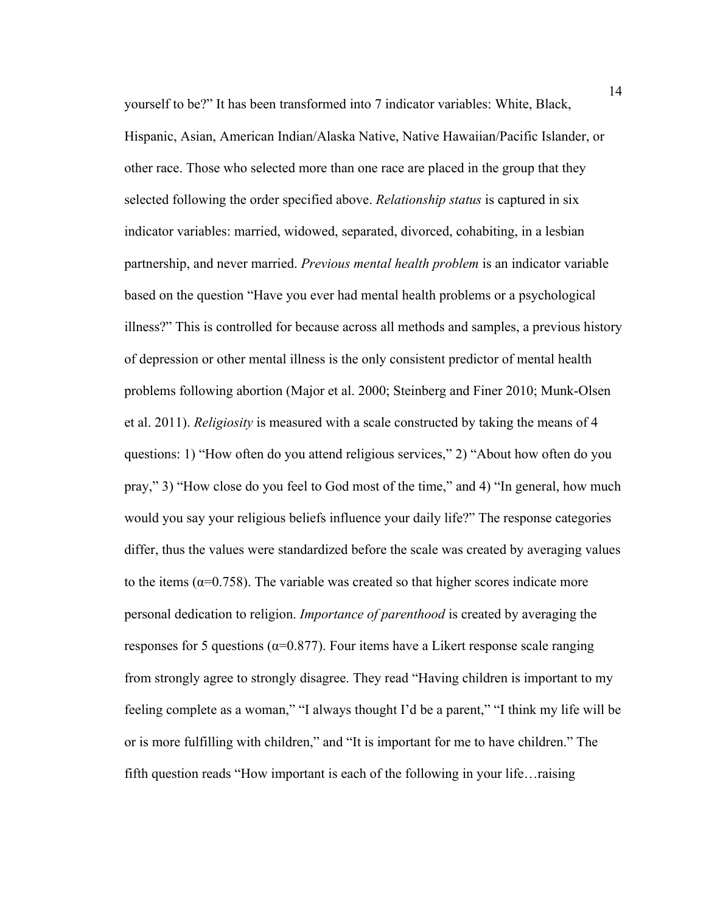yourself to be?" It has been transformed into 7 indicator variables: White, Black, Hispanic, Asian, American Indian/Alaska Native, Native Hawaiian/Pacific Islander, or other race. Those who selected more than one race are placed in the group that they selected following the order specified above. *Relationship status* is captured in six indicator variables: married, widowed, separated, divorced, cohabiting, in a lesbian partnership, and never married. *Previous mental health problem* is an indicator variable based on the question "Have you ever had mental health problems or a psychological illness?" This is controlled for because across all methods and samples, a previous history of depression or other mental illness is the only consistent predictor of mental health problems following abortion (Major et al. 2000; Steinberg and Finer 2010; Munk-Olsen et al. 2011). *Religiosity* is measured with a scale constructed by taking the means of 4 questions: 1) "How often do you attend religious services," 2) "About how often do you pray," 3) "How close do you feel to God most of the time," and 4) "In general, how much would you say your religious beliefs influence your daily life?" The response categories differ, thus the values were standardized before the scale was created by averaging values to the items ( $\alpha$ =0.758). The variable was created so that higher scores indicate more personal dedication to religion. *Importance of parenthood* is created by averaging the responses for 5 questions ( $\alpha$ =0.877). Four items have a Likert response scale ranging from strongly agree to strongly disagree. They read "Having children is important to my feeling complete as a woman," "I always thought I'd be a parent," "I think my life will be or is more fulfilling with children," and "It is important for me to have children." The fifth question reads "How important is each of the following in your life…raising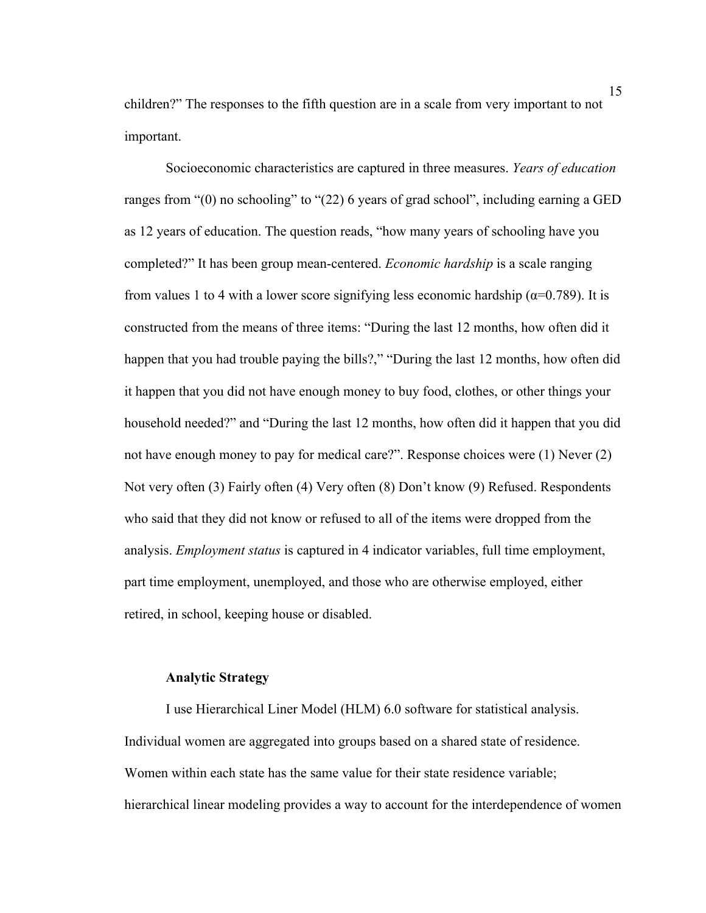children?" The responses to the fifth question are in a scale from very important to not important.

Socioeconomic characteristics are captured in three measures. *Years of education*  ranges from "(0) no schooling" to "(22) 6 years of grad school", including earning a GED as 12 years of education. The question reads, "how many years of schooling have you completed?" It has been group mean-centered. *Economic hardship* is a scale ranging from values 1 to 4 with a lower score signifying less economic hardship ( $\alpha$ =0.789). It is constructed from the means of three items: "During the last 12 months, how often did it happen that you had trouble paying the bills?," "During the last 12 months, how often did it happen that you did not have enough money to buy food, clothes, or other things your household needed?" and "During the last 12 months, how often did it happen that you did not have enough money to pay for medical care?". Response choices were (1) Never (2) Not very often (3) Fairly often (4) Very often (8) Don't know (9) Refused. Respondents who said that they did not know or refused to all of the items were dropped from the analysis. *Employment status* is captured in 4 indicator variables, full time employment, part time employment, unemployed, and those who are otherwise employed, either retired, in school, keeping house or disabled.

## **Analytic Strategy**

I use Hierarchical Liner Model (HLM) 6.0 software for statistical analysis. Individual women are aggregated into groups based on a shared state of residence. Women within each state has the same value for their state residence variable; hierarchical linear modeling provides a way to account for the interdependence of women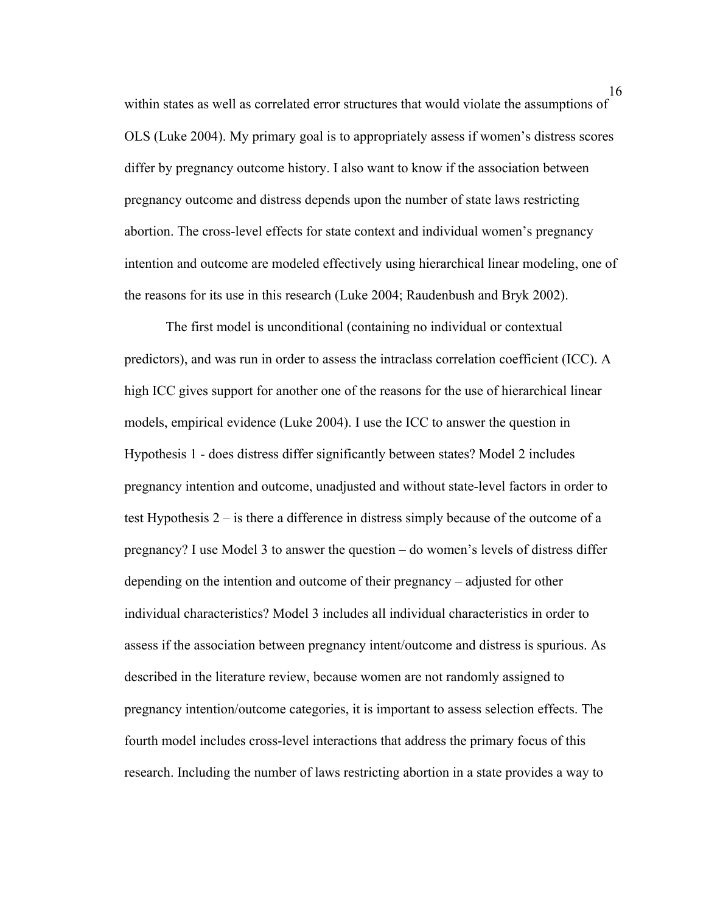within states as well as correlated error structures that would violate the assumptions of OLS (Luke 2004). My primary goal is to appropriately assess if women's distress scores differ by pregnancy outcome history. I also want to know if the association between pregnancy outcome and distress depends upon the number of state laws restricting abortion. The cross-level effects for state context and individual women's pregnancy intention and outcome are modeled effectively using hierarchical linear modeling, one of the reasons for its use in this research (Luke 2004; Raudenbush and Bryk 2002).

The first model is unconditional (containing no individual or contextual predictors), and was run in order to assess the intraclass correlation coefficient (ICC). A high ICC gives support for another one of the reasons for the use of hierarchical linear models, empirical evidence (Luke 2004). I use the ICC to answer the question in Hypothesis 1 - does distress differ significantly between states? Model 2 includes pregnancy intention and outcome, unadjusted and without state-level factors in order to test Hypothesis 2 – is there a difference in distress simply because of the outcome of a pregnancy? I use Model 3 to answer the question – do women's levels of distress differ depending on the intention and outcome of their pregnancy – adjusted for other individual characteristics? Model 3 includes all individual characteristics in order to assess if the association between pregnancy intent/outcome and distress is spurious. As described in the literature review, because women are not randomly assigned to pregnancy intention/outcome categories, it is important to assess selection effects. The fourth model includes cross-level interactions that address the primary focus of this research. Including the number of laws restricting abortion in a state provides a way to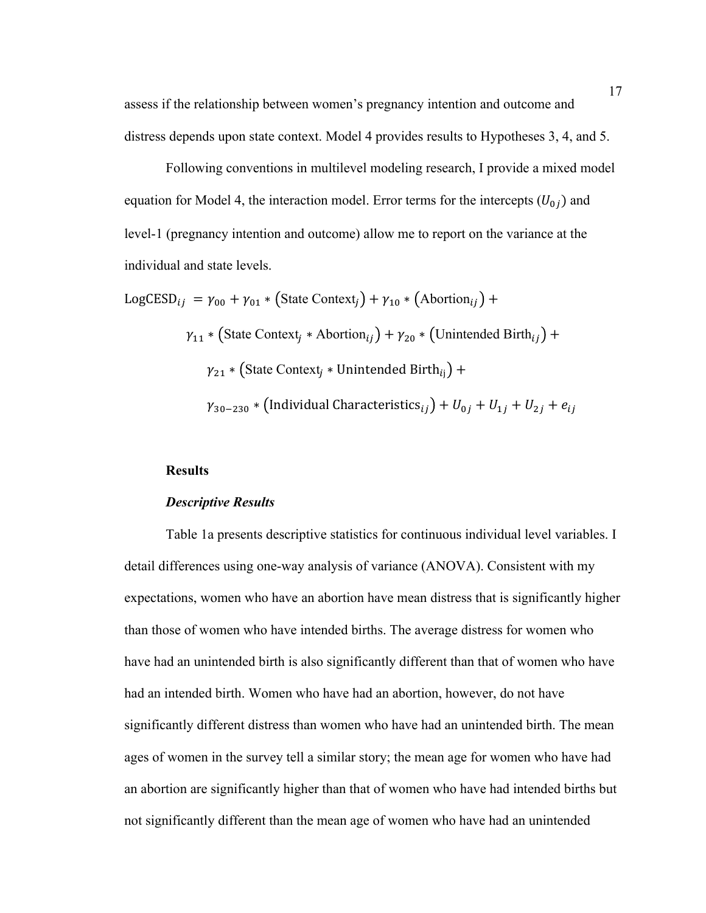assess if the relationship between women's pregnancy intention and outcome and distress depends upon state context. Model 4 provides results to Hypotheses 3, 4, and 5.

Following conventions in multilevel modeling research, I provide a mixed model equation for Model 4, the interaction model. Error terms for the intercepts  $(U_{0i})$  and level-1 (pregnancy intention and outcome) allow me to report on the variance at the individual and state levels.

LogCESD<sub>ij</sub> =  $\gamma_{00}$  +  $\gamma_{01}$  \* (State Context<sub>i</sub>) +  $\gamma_{10}$  \* (Abortion<sub>ij</sub>) +  $\gamma_{11}$  \* (State Context<sub>j</sub> \* Abortion<sub>ij</sub>) +  $\gamma_{20}$  \* (Unintended Birth<sub>ij</sub>) +  ${\gamma _{21}} * \left( \text{State Context}_j * \text{Unintended Birth}_{ij} \right) +$  $\gamma_{30-230} * ($ Individual Characteristics $_{ij}$ ) +  $U_{0j}$  +  $U_{1j}$  +  $U_{2j}$  +  $e_{ij}$ 

## **Results**

#### *Descriptive Results*

Table 1a presents descriptive statistics for continuous individual level variables. I detail differences using one-way analysis of variance (ANOVA). Consistent with my expectations, women who have an abortion have mean distress that is significantly higher than those of women who have intended births. The average distress for women who have had an unintended birth is also significantly different than that of women who have had an intended birth. Women who have had an abortion, however, do not have significantly different distress than women who have had an unintended birth. The mean ages of women in the survey tell a similar story; the mean age for women who have had an abortion are significantly higher than that of women who have had intended births but not significantly different than the mean age of women who have had an unintended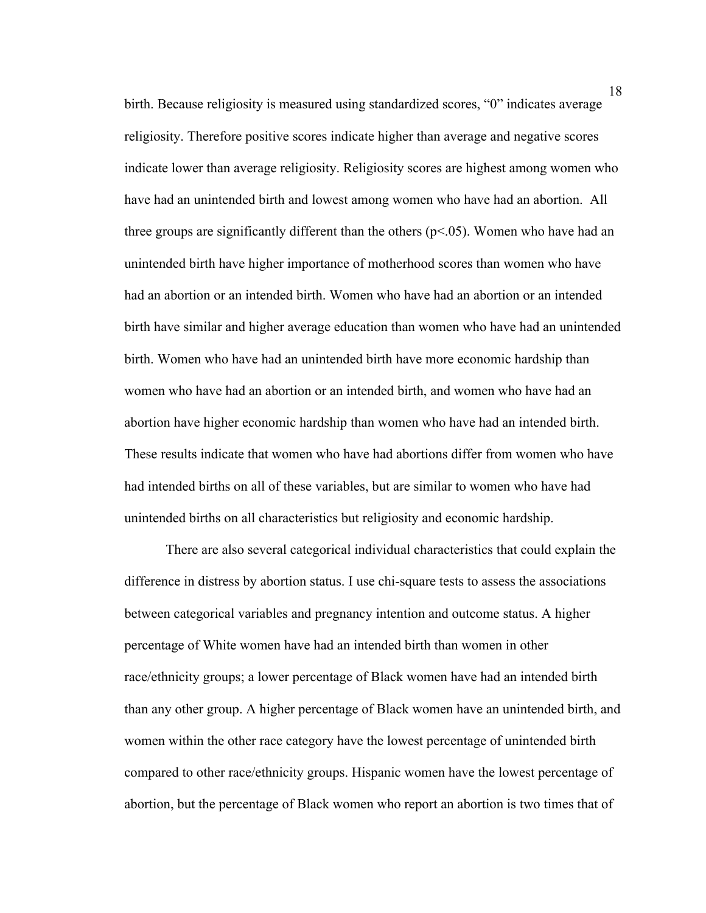birth. Because religiosity is measured using standardized scores, "0" indicates average religiosity. Therefore positive scores indicate higher than average and negative scores indicate lower than average religiosity. Religiosity scores are highest among women who have had an unintended birth and lowest among women who have had an abortion. All three groups are significantly different than the others ( $p<05$ ). Women who have had an unintended birth have higher importance of motherhood scores than women who have had an abortion or an intended birth. Women who have had an abortion or an intended birth have similar and higher average education than women who have had an unintended birth. Women who have had an unintended birth have more economic hardship than women who have had an abortion or an intended birth, and women who have had an abortion have higher economic hardship than women who have had an intended birth. These results indicate that women who have had abortions differ from women who have had intended births on all of these variables, but are similar to women who have had unintended births on all characteristics but religiosity and economic hardship.

There are also several categorical individual characteristics that could explain the difference in distress by abortion status. I use chi-square tests to assess the associations between categorical variables and pregnancy intention and outcome status. A higher percentage of White women have had an intended birth than women in other race/ethnicity groups; a lower percentage of Black women have had an intended birth than any other group. A higher percentage of Black women have an unintended birth, and women within the other race category have the lowest percentage of unintended birth compared to other race/ethnicity groups. Hispanic women have the lowest percentage of abortion, but the percentage of Black women who report an abortion is two times that of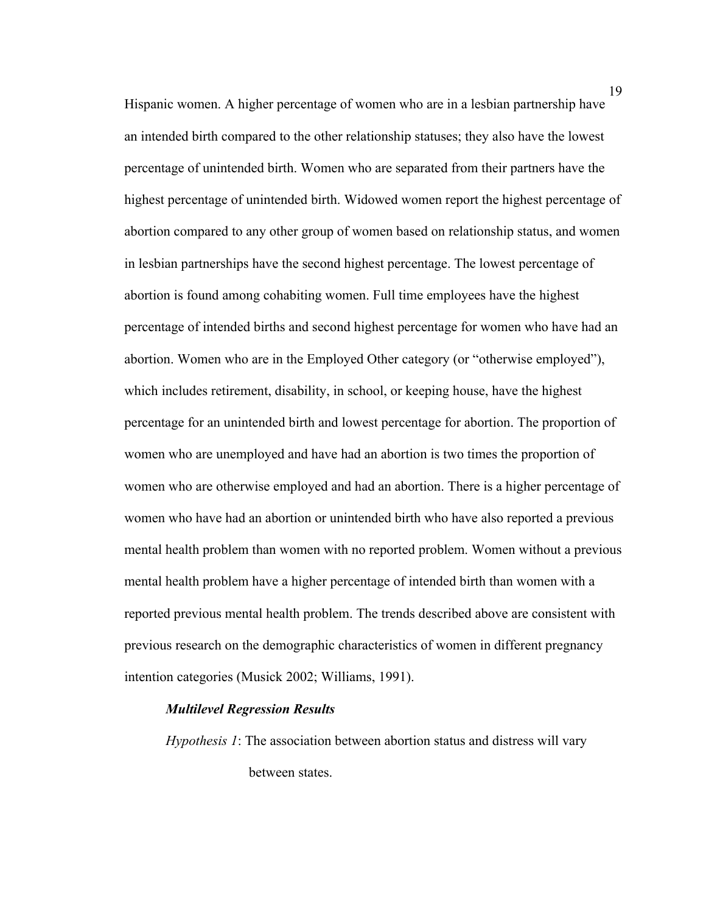Hispanic women. A higher percentage of women who are in a lesbian partnership have an intended birth compared to the other relationship statuses; they also have the lowest percentage of unintended birth. Women who are separated from their partners have the highest percentage of unintended birth. Widowed women report the highest percentage of abortion compared to any other group of women based on relationship status, and women in lesbian partnerships have the second highest percentage. The lowest percentage of abortion is found among cohabiting women. Full time employees have the highest percentage of intended births and second highest percentage for women who have had an abortion. Women who are in the Employed Other category (or "otherwise employed"), which includes retirement, disability, in school, or keeping house, have the highest percentage for an unintended birth and lowest percentage for abortion. The proportion of women who are unemployed and have had an abortion is two times the proportion of women who are otherwise employed and had an abortion. There is a higher percentage of women who have had an abortion or unintended birth who have also reported a previous mental health problem than women with no reported problem. Women without a previous mental health problem have a higher percentage of intended birth than women with a reported previous mental health problem. The trends described above are consistent with previous research on the demographic characteristics of women in different pregnancy intention categories (Musick 2002; Williams, 1991).

#### *Multilevel Regression Results*

*Hypothesis 1*: The association between abortion status and distress will vary between states.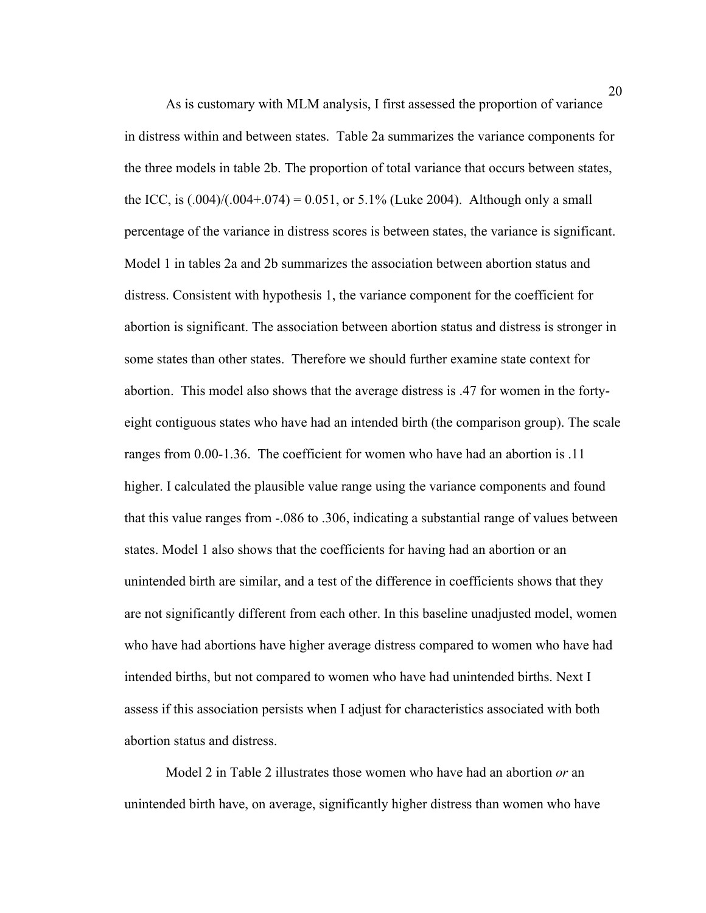As is customary with MLM analysis, I first assessed the proportion of variance in distress within and between states. Table 2a summarizes the variance components for the three models in table 2b. The proportion of total variance that occurs between states, the ICC, is  $(.004)/(.004+.074) = 0.051$ , or 5.1% (Luke 2004). Although only a small percentage of the variance in distress scores is between states, the variance is significant. Model 1 in tables 2a and 2b summarizes the association between abortion status and distress. Consistent with hypothesis 1, the variance component for the coefficient for abortion is significant. The association between abortion status and distress is stronger in some states than other states. Therefore we should further examine state context for abortion. This model also shows that the average distress is .47 for women in the fortyeight contiguous states who have had an intended birth (the comparison group). The scale ranges from 0.00-1.36. The coefficient for women who have had an abortion is .11 higher. I calculated the plausible value range using the variance components and found that this value ranges from -.086 to .306, indicating a substantial range of values between states. Model 1 also shows that the coefficients for having had an abortion or an unintended birth are similar, and a test of the difference in coefficients shows that they are not significantly different from each other. In this baseline unadjusted model, women who have had abortions have higher average distress compared to women who have had intended births, but not compared to women who have had unintended births. Next I assess if this association persists when I adjust for characteristics associated with both abortion status and distress.

Model 2 in Table 2 illustrates those women who have had an abortion *or* an unintended birth have, on average, significantly higher distress than women who have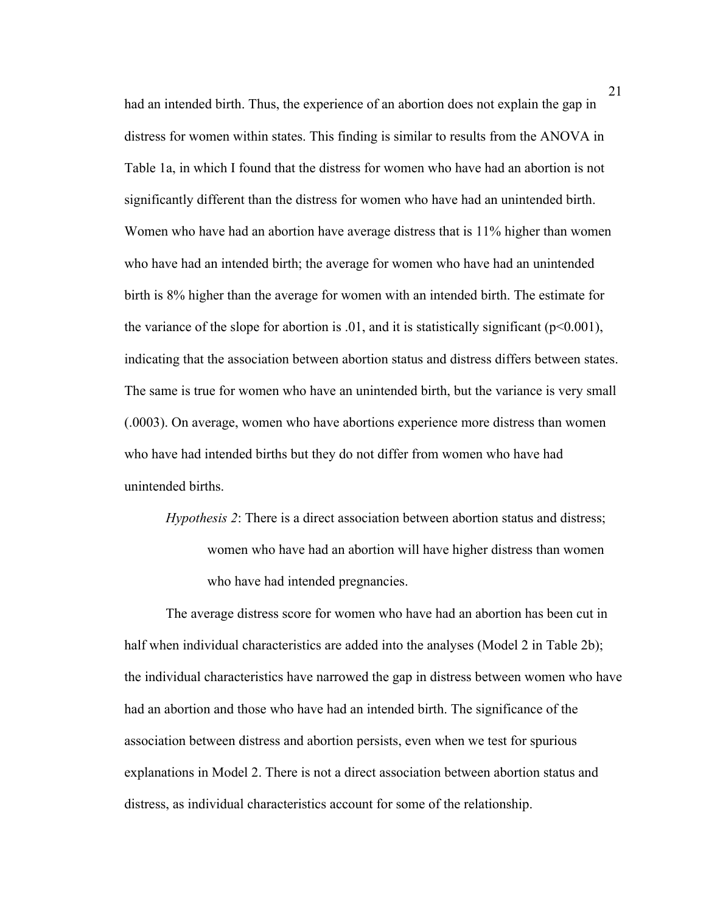had an intended birth. Thus, the experience of an abortion does not explain the gap in distress for women within states. This finding is similar to results from the ANOVA in Table 1a, in which I found that the distress for women who have had an abortion is not significantly different than the distress for women who have had an unintended birth. Women who have had an abortion have average distress that is 11% higher than women who have had an intended birth; the average for women who have had an unintended birth is 8% higher than the average for women with an intended birth. The estimate for the variance of the slope for abortion is  $.01$ , and it is statistically significant ( $p<0.001$ ), indicating that the association between abortion status and distress differs between states. The same is true for women who have an unintended birth, but the variance is very small (.0003). On average, women who have abortions experience more distress than women who have had intended births but they do not differ from women who have had unintended births.

*Hypothesis 2*: There is a direct association between abortion status and distress; women who have had an abortion will have higher distress than women who have had intended pregnancies.

The average distress score for women who have had an abortion has been cut in half when individual characteristics are added into the analyses (Model 2 in Table 2b); the individual characteristics have narrowed the gap in distress between women who have had an abortion and those who have had an intended birth. The significance of the association between distress and abortion persists, even when we test for spurious explanations in Model 2. There is not a direct association between abortion status and distress, as individual characteristics account for some of the relationship.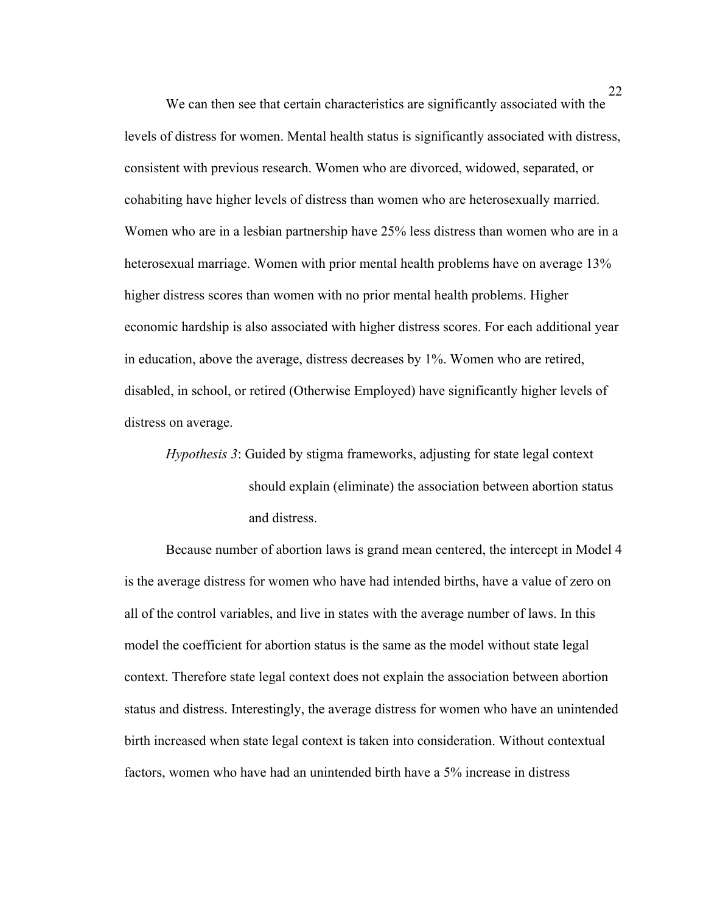We can then see that certain characteristics are significantly associated with the levels of distress for women. Mental health status is significantly associated with distress, consistent with previous research. Women who are divorced, widowed, separated, or cohabiting have higher levels of distress than women who are heterosexually married. Women who are in a lesbian partnership have 25% less distress than women who are in a heterosexual marriage. Women with prior mental health problems have on average 13% higher distress scores than women with no prior mental health problems. Higher economic hardship is also associated with higher distress scores. For each additional year in education, above the average, distress decreases by 1%. Women who are retired, disabled, in school, or retired (Otherwise Employed) have significantly higher levels of distress on average.

*Hypothesis 3*: Guided by stigma frameworks, adjusting for state legal context should explain (eliminate) the association between abortion status and distress.

Because number of abortion laws is grand mean centered, the intercept in Model 4 is the average distress for women who have had intended births, have a value of zero on all of the control variables, and live in states with the average number of laws. In this model the coefficient for abortion status is the same as the model without state legal context. Therefore state legal context does not explain the association between abortion status and distress. Interestingly, the average distress for women who have an unintended birth increased when state legal context is taken into consideration. Without contextual factors, women who have had an unintended birth have a 5% increase in distress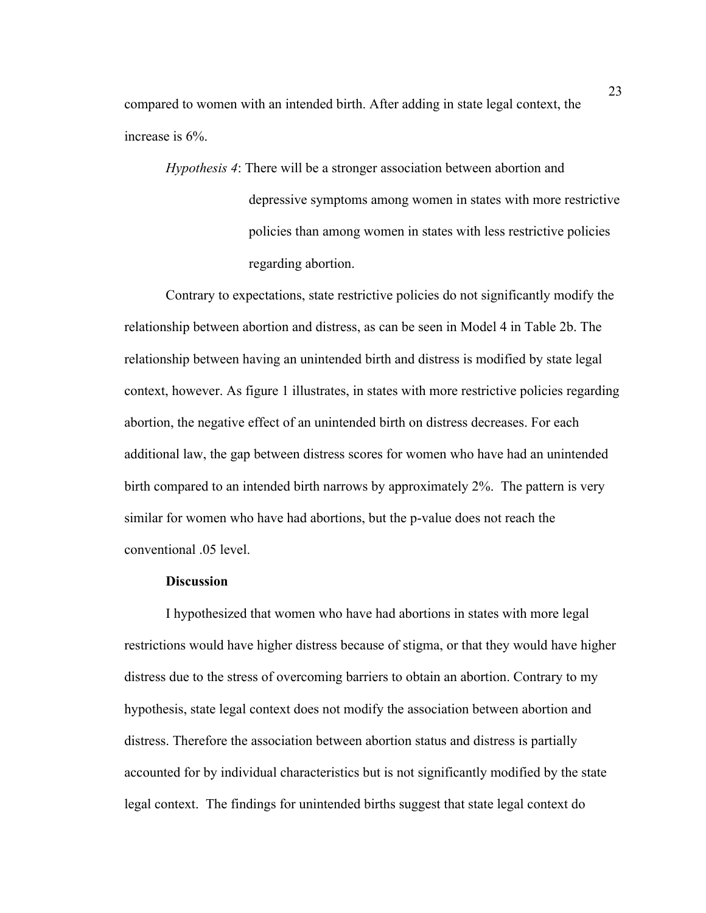compared to women with an intended birth. After adding in state legal context, the increase is 6%.

*Hypothesis 4*: There will be a stronger association between abortion and depressive symptoms among women in states with more restrictive policies than among women in states with less restrictive policies regarding abortion.

Contrary to expectations, state restrictive policies do not significantly modify the relationship between abortion and distress, as can be seen in Model 4 in Table 2b. The relationship between having an unintended birth and distress is modified by state legal context, however. As figure 1 illustrates, in states with more restrictive policies regarding abortion, the negative effect of an unintended birth on distress decreases. For each additional law, the gap between distress scores for women who have had an unintended birth compared to an intended birth narrows by approximately 2%. The pattern is very similar for women who have had abortions, but the p-value does not reach the conventional .05 level.

#### **Discussion**

I hypothesized that women who have had abortions in states with more legal restrictions would have higher distress because of stigma, or that they would have higher distress due to the stress of overcoming barriers to obtain an abortion. Contrary to my hypothesis, state legal context does not modify the association between abortion and distress. Therefore the association between abortion status and distress is partially accounted for by individual characteristics but is not significantly modified by the state legal context. The findings for unintended births suggest that state legal context do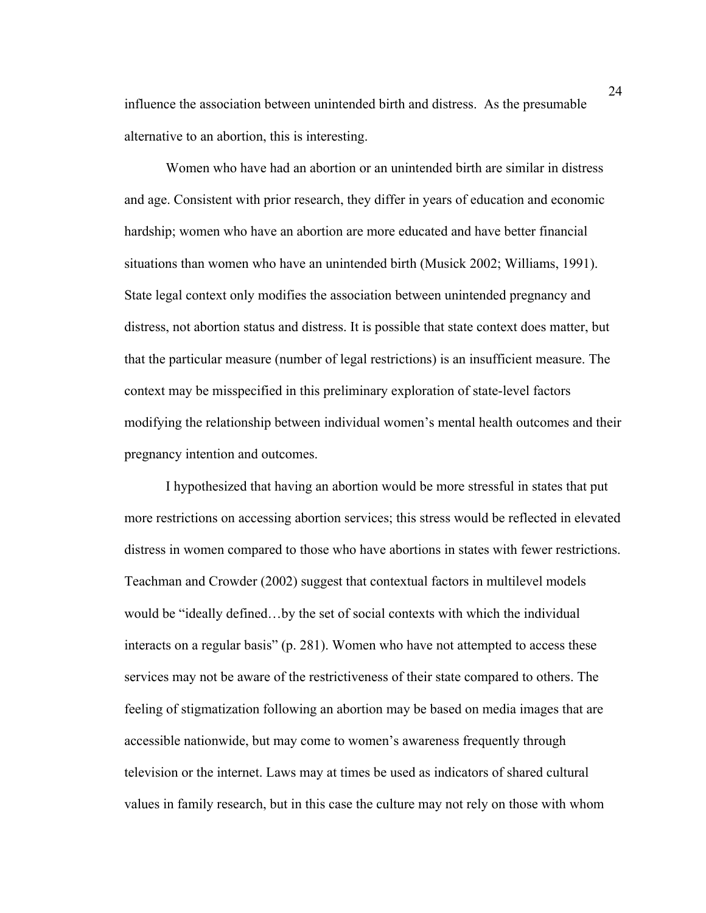influence the association between unintended birth and distress. As the presumable alternative to an abortion, this is interesting.

Women who have had an abortion or an unintended birth are similar in distress and age. Consistent with prior research, they differ in years of education and economic hardship; women who have an abortion are more educated and have better financial situations than women who have an unintended birth (Musick 2002; Williams, 1991). State legal context only modifies the association between unintended pregnancy and distress, not abortion status and distress. It is possible that state context does matter, but that the particular measure (number of legal restrictions) is an insufficient measure. The context may be misspecified in this preliminary exploration of state-level factors modifying the relationship between individual women's mental health outcomes and their pregnancy intention and outcomes.

I hypothesized that having an abortion would be more stressful in states that put more restrictions on accessing abortion services; this stress would be reflected in elevated distress in women compared to those who have abortions in states with fewer restrictions. Teachman and Crowder (2002) suggest that contextual factors in multilevel models would be "ideally defined…by the set of social contexts with which the individual interacts on a regular basis" (p. 281). Women who have not attempted to access these services may not be aware of the restrictiveness of their state compared to others. The feeling of stigmatization following an abortion may be based on media images that are accessible nationwide, but may come to women's awareness frequently through television or the internet. Laws may at times be used as indicators of shared cultural values in family research, but in this case the culture may not rely on those with whom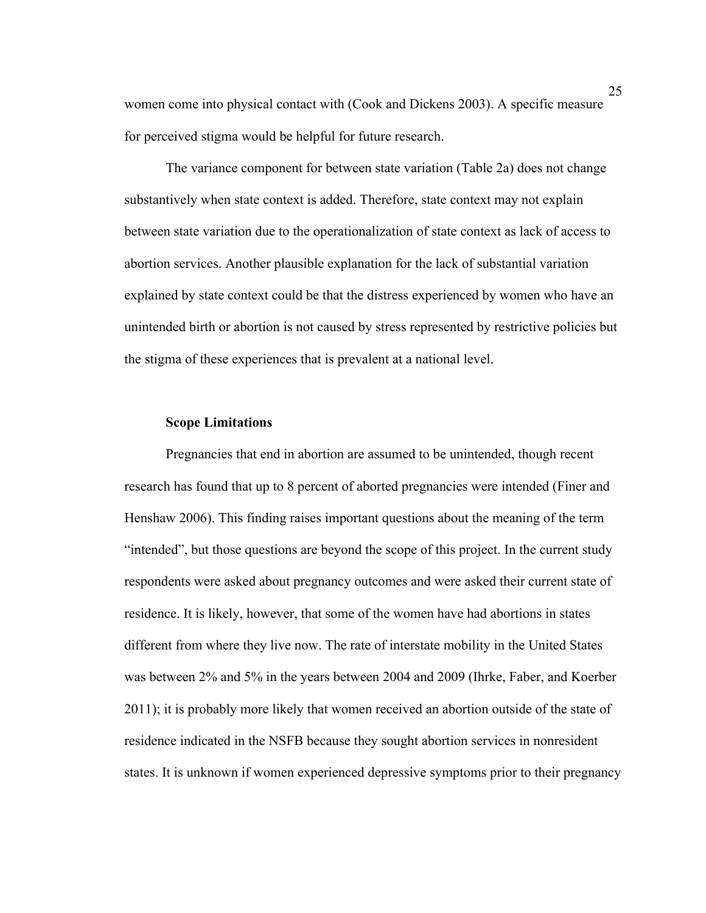women come into physical contact with (Cook and Dickens 2003). A specific measure for perceived stigma would be helpful for future research.

The variance component for between state variation (Table 2a) does not change substantively when state context is added. Therefore, state context may not explain between state variation due to the operationalization of state context as lack of access to abortion services. Another plausible explanation for the lack of substantial variation explained by state context could be that the distress experienced by women who have an unintended birth or abortion is not caused by stress represented by restrictive policies but the stigma of these experiences that is prevalent at a national level.

## **Scope Limitations**

Pregnancies that end in abortion are assumed to be unintended, though recent research has found that up to 8 percent of aborted pregnancies were intended (Finer and Henshaw 2006). This finding raises important questions about the meaning of the term "intended", but those questions are beyond the scope of this project. In the current study respondents were asked about pregnancy outcomes and were asked their current state of residence. It is likely, however, that some of the women have had abortions in states different from where they live now. The rate of interstate mobility in the United States was between 2% and 5% in the years between 2004 and 2009 (Ihrke, Faber, and Koerber 2011); it is probably more likely that women received an abortion outside of the state of residence indicated in the NSFB because they sought abortion services in nonresident states. It is unknown if women experienced depressive symptoms prior to their pregnancy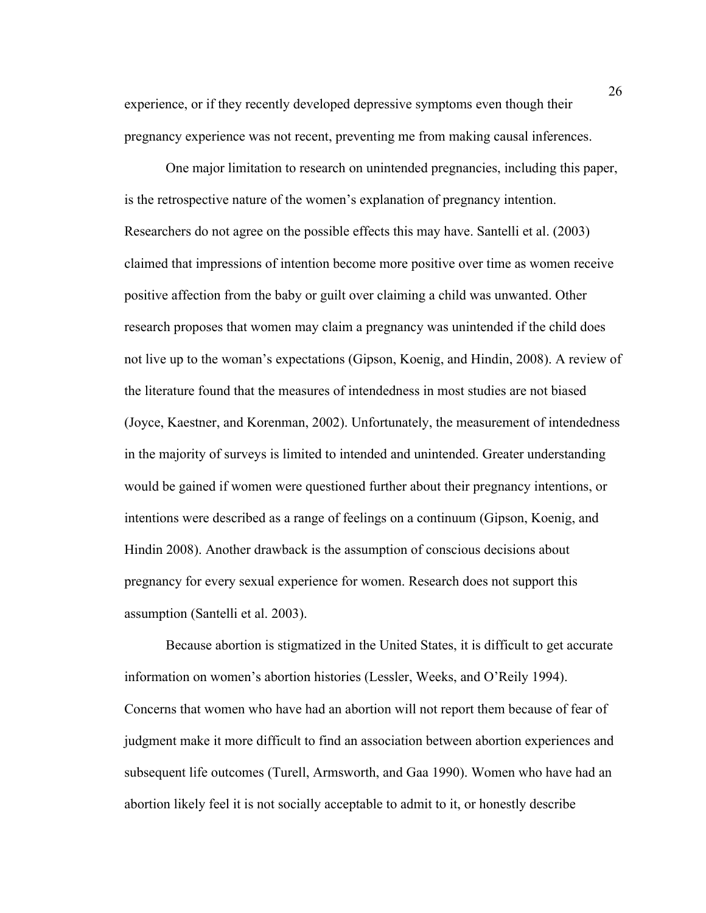experience, or if they recently developed depressive symptoms even though their pregnancy experience was not recent, preventing me from making causal inferences.

One major limitation to research on unintended pregnancies, including this paper, is the retrospective nature of the women's explanation of pregnancy intention. Researchers do not agree on the possible effects this may have. Santelli et al. (2003) claimed that impressions of intention become more positive over time as women receive positive affection from the baby or guilt over claiming a child was unwanted. Other research proposes that women may claim a pregnancy was unintended if the child does not live up to the woman's expectations (Gipson, Koenig, and Hindin, 2008). A review of the literature found that the measures of intendedness in most studies are not biased (Joyce, Kaestner, and Korenman, 2002). Unfortunately, the measurement of intendedness in the majority of surveys is limited to intended and unintended. Greater understanding would be gained if women were questioned further about their pregnancy intentions, or intentions were described as a range of feelings on a continuum (Gipson, Koenig, and Hindin 2008). Another drawback is the assumption of conscious decisions about pregnancy for every sexual experience for women. Research does not support this assumption (Santelli et al. 2003).

Because abortion is stigmatized in the United States, it is difficult to get accurate information on women's abortion histories (Lessler, Weeks, and O'Reily 1994). Concerns that women who have had an abortion will not report them because of fear of judgment make it more difficult to find an association between abortion experiences and subsequent life outcomes (Turell, Armsworth, and Gaa 1990). Women who have had an abortion likely feel it is not socially acceptable to admit to it, or honestly describe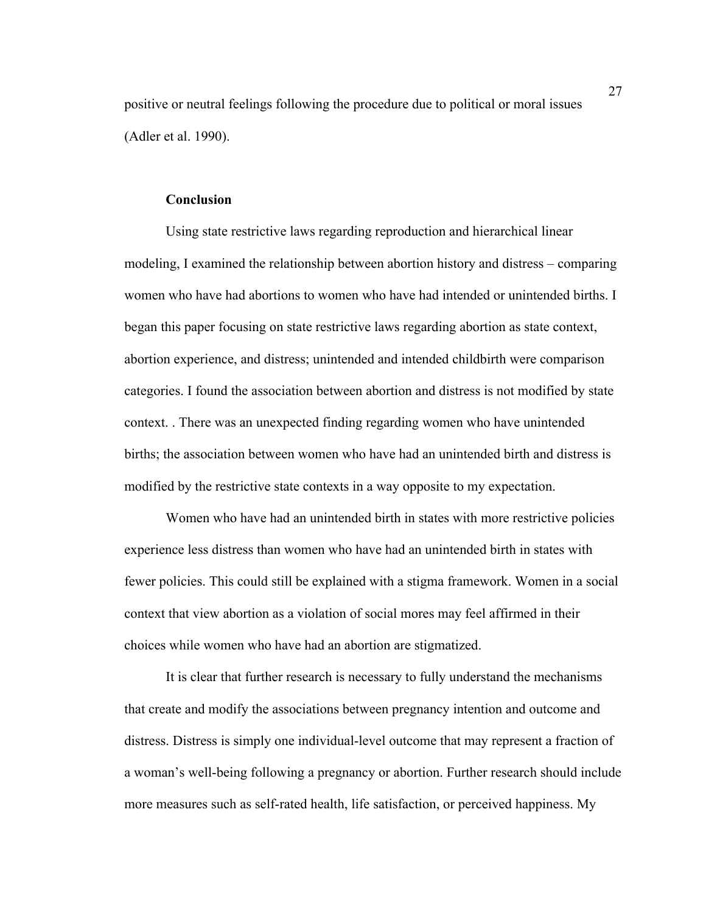positive or neutral feelings following the procedure due to political or moral issues (Adler et al. 1990).

## **Conclusion**

Using state restrictive laws regarding reproduction and hierarchical linear modeling, I examined the relationship between abortion history and distress – comparing women who have had abortions to women who have had intended or unintended births. I began this paper focusing on state restrictive laws regarding abortion as state context, abortion experience, and distress; unintended and intended childbirth were comparison categories. I found the association between abortion and distress is not modified by state context. . There was an unexpected finding regarding women who have unintended births; the association between women who have had an unintended birth and distress is modified by the restrictive state contexts in a way opposite to my expectation.

Women who have had an unintended birth in states with more restrictive policies experience less distress than women who have had an unintended birth in states with fewer policies. This could still be explained with a stigma framework. Women in a social context that view abortion as a violation of social mores may feel affirmed in their choices while women who have had an abortion are stigmatized.

It is clear that further research is necessary to fully understand the mechanisms that create and modify the associations between pregnancy intention and outcome and distress. Distress is simply one individual-level outcome that may represent a fraction of a woman's well-being following a pregnancy or abortion. Further research should include more measures such as self-rated health, life satisfaction, or perceived happiness. My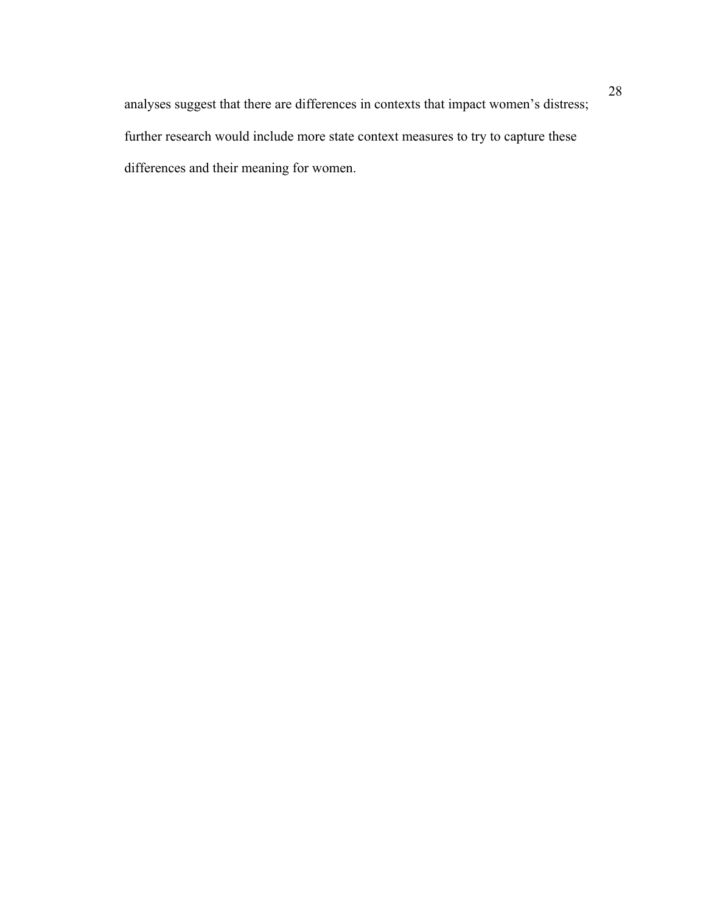analyses suggest that there are differences in contexts that impact women's distress; further research would include more state context measures to try to capture these differences and their meaning for women.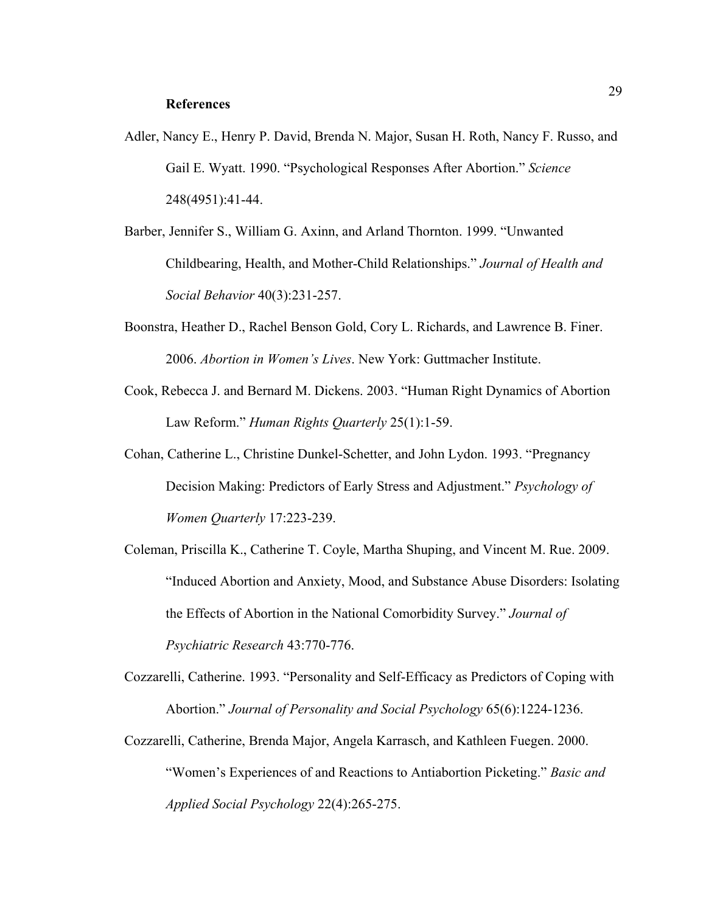#### **References**

- Adler, Nancy E., Henry P. David, Brenda N. Major, Susan H. Roth, Nancy F. Russo, and Gail E. Wyatt. 1990. "Psychological Responses After Abortion." *Science* 248(4951):41-44.
- Barber, Jennifer S., William G. Axinn, and Arland Thornton. 1999. "Unwanted Childbearing, Health, and Mother-Child Relationships." *Journal of Health and Social Behavior* 40(3):231-257.
- Boonstra, Heather D., Rachel Benson Gold, Cory L. Richards, and Lawrence B. Finer. 2006. *Abortion in Women's Lives*. New York: Guttmacher Institute.
- Cook, Rebecca J. and Bernard M. Dickens. 2003. "Human Right Dynamics of Abortion Law Reform." *Human Rights Quarterly* 25(1):1-59.
- Cohan, Catherine L., Christine Dunkel-Schetter, and John Lydon. 1993. "Pregnancy Decision Making: Predictors of Early Stress and Adjustment." *Psychology of Women Quarterly* 17:223-239.
- Coleman, Priscilla K., Catherine T. Coyle, Martha Shuping, and Vincent M. Rue. 2009. "Induced Abortion and Anxiety, Mood, and Substance Abuse Disorders: Isolating the Effects of Abortion in the National Comorbidity Survey." *Journal of Psychiatric Research* 43:770-776.
- Cozzarelli, Catherine. 1993. "Personality and Self-Efficacy as Predictors of Coping with Abortion." *Journal of Personality and Social Psychology* 65(6):1224-1236.
- Cozzarelli, Catherine, Brenda Major, Angela Karrasch, and Kathleen Fuegen. 2000. "Women's Experiences of and Reactions to Antiabortion Picketing." *Basic and Applied Social Psychology* 22(4):265-275.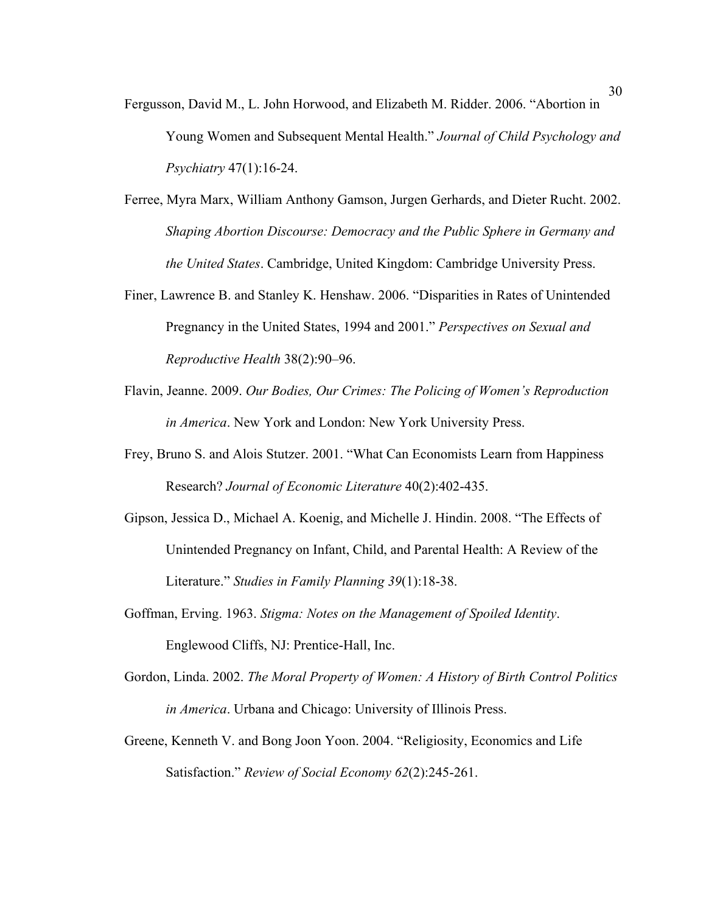- Fergusson, David M., L. John Horwood, and Elizabeth M. Ridder. 2006. "Abortion in Young Women and Subsequent Mental Health." *Journal of Child Psychology and Psychiatry* 47(1):16-24.
- Ferree, Myra Marx, William Anthony Gamson, Jurgen Gerhards, and Dieter Rucht. 2002. *Shaping Abortion Discourse: Democracy and the Public Sphere in Germany and the United States*. Cambridge, United Kingdom: Cambridge University Press.
- Finer, Lawrence B. and Stanley K. Henshaw. 2006. "Disparities in Rates of Unintended Pregnancy in the United States, 1994 and 2001." *Perspectives on Sexual and Reproductive Health* 38(2):90–96.
- Flavin, Jeanne. 2009. *Our Bodies, Our Crimes: The Policing of Women's Reproduction in America*. New York and London: New York University Press.
- Frey, Bruno S. and Alois Stutzer. 2001. "What Can Economists Learn from Happiness Research? *Journal of Economic Literature* 40(2):402-435.
- Gipson, Jessica D., Michael A. Koenig, and Michelle J. Hindin. 2008. "The Effects of Unintended Pregnancy on Infant, Child, and Parental Health: A Review of the Literature." *Studies in Family Planning 39*(1):18-38.
- Goffman, Erving. 1963. *Stigma: Notes on the Management of Spoiled Identity*. Englewood Cliffs, NJ: Prentice-Hall, Inc.
- Gordon, Linda. 2002. *The Moral Property of Women: A History of Birth Control Politics in America*. Urbana and Chicago: University of Illinois Press.
- Greene, Kenneth V. and Bong Joon Yoon. 2004. "Religiosity, Economics and Life Satisfaction." *Review of Social Economy 62*(2):245-261.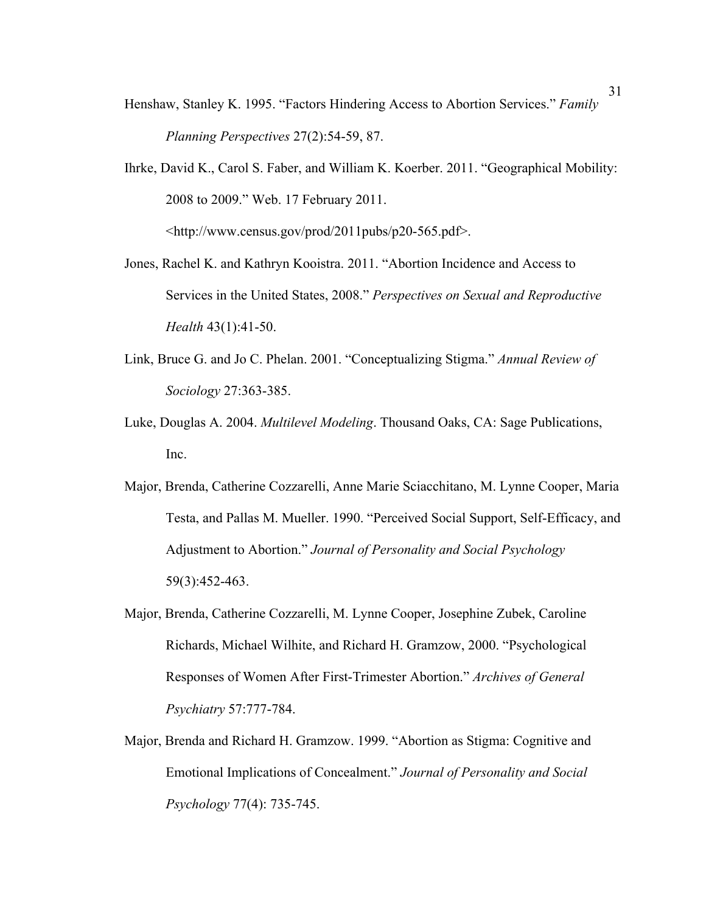- Henshaw, Stanley K. 1995. "Factors Hindering Access to Abortion Services." *Family Planning Perspectives* 27(2):54-59, 87.
- Ihrke, David K., Carol S. Faber, and William K. Koerber. 2011. "Geographical Mobility: 2008 to 2009." Web. 17 February 2011. <http://www.census.gov/prod/2011pubs/p20-565.pdf>.
- Jones, Rachel K. and Kathryn Kooistra. 2011. "Abortion Incidence and Access to Services in the United States, 2008." *Perspectives on Sexual and Reproductive Health* 43(1):41-50.
- Link, Bruce G. and Jo C. Phelan. 2001. "Conceptualizing Stigma." *Annual Review of Sociology* 27:363-385.
- Luke, Douglas A. 2004. *Multilevel Modeling*. Thousand Oaks, CA: Sage Publications, Inc.
- Major, Brenda, Catherine Cozzarelli, Anne Marie Sciacchitano, M. Lynne Cooper, Maria Testa, and Pallas M. Mueller. 1990. "Perceived Social Support, Self-Efficacy, and Adjustment to Abortion." *Journal of Personality and Social Psychology* 59(3):452-463.
- Major, Brenda, Catherine Cozzarelli, M. Lynne Cooper, Josephine Zubek, Caroline Richards, Michael Wilhite, and Richard H. Gramzow, 2000. "Psychological Responses of Women After First-Trimester Abortion." *Archives of General Psychiatry* 57:777-784.
- Major, Brenda and Richard H. Gramzow. 1999. "Abortion as Stigma: Cognitive and Emotional Implications of Concealment." *Journal of Personality and Social Psychology* 77(4): 735-745.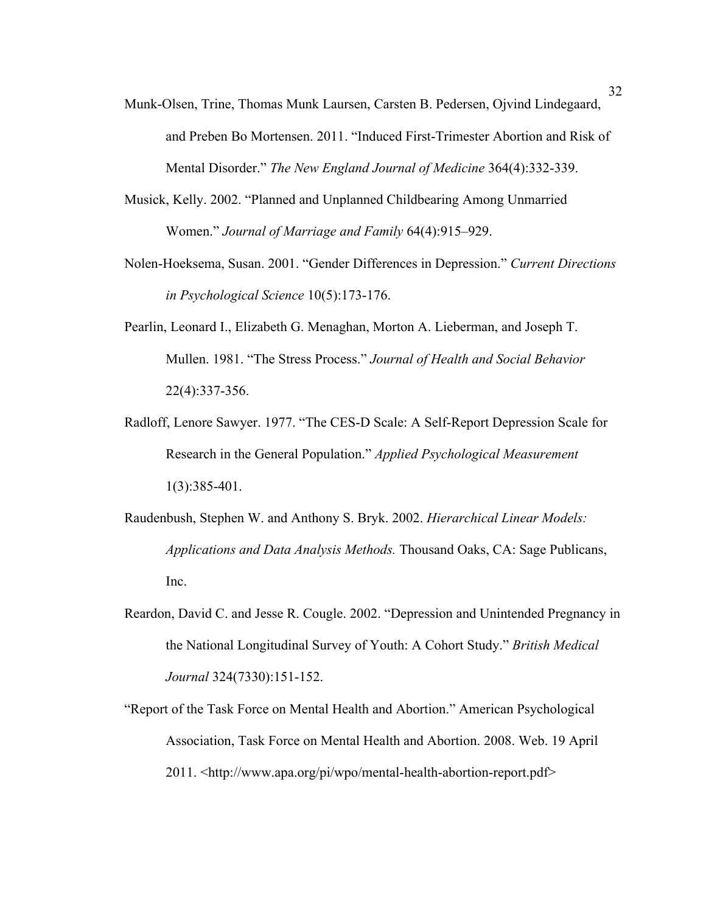- Munk-Olsen, Trine, Thomas Munk Laursen, Carsten B. Pedersen, Ojvind Lindegaard, and Preben Bo Mortensen. 2011. "Induced First-Trimester Abortion and Risk of Mental Disorder." *The New England Journal of Medicine* 364(4):332-339.
- Musick, Kelly. 2002. "Planned and Unplanned Childbearing Among Unmarried Women." *Journal of Marriage and Family* 64(4):915–929.
- Nolen-Hoeksema, Susan. 2001. "Gender Differences in Depression." *Current Directions in Psychological Science* 10(5):173-176.
- Pearlin, Leonard I., Elizabeth G. Menaghan, Morton A. Lieberman, and Joseph T. Mullen. 1981. "The Stress Process." *Journal of Health and Social Behavior* 22(4):337-356.
- Radloff, Lenore Sawyer. 1977. "The CES-D Scale: A Self-Report Depression Scale for Research in the General Population." *Applied Psychological Measurement* 1(3):385-401.
- Raudenbush, Stephen W. and Anthony S. Bryk. 2002. *Hierarchical Linear Models: Applications and Data Analysis Methods.* Thousand Oaks, CA: Sage Publicans, Inc.
- Reardon, David C. and Jesse R. Cougle. 2002. "Depression and Unintended Pregnancy in the National Longitudinal Survey of Youth: A Cohort Study." *British Medical Journal* 324(7330):151-152.
- "Report of the Task Force on Mental Health and Abortion." American Psychological Association, Task Force on Mental Health and Abortion. 2008. Web. 19 April 2011. <http://www.apa.org/pi/wpo/mental-health-abortion-report.pdf>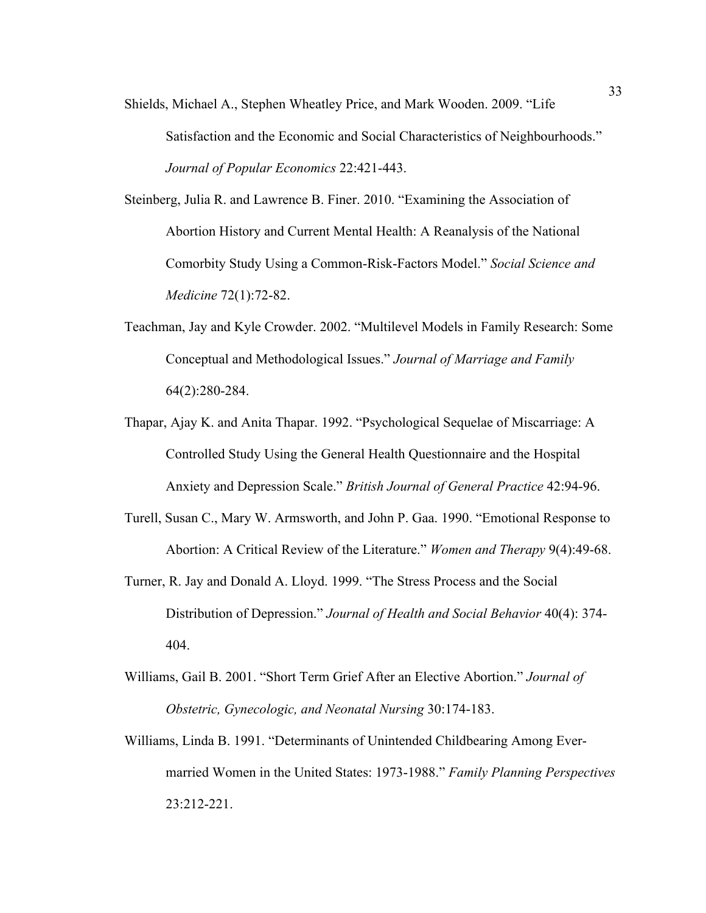Shields, Michael A., Stephen Wheatley Price, and Mark Wooden. 2009. "Life Satisfaction and the Economic and Social Characteristics of Neighbourhoods." *Journal of Popular Economics* 22:421-443.

Steinberg, Julia R. and Lawrence B. Finer. 2010. "Examining the Association of Abortion History and Current Mental Health: A Reanalysis of the National Comorbity Study Using a Common-Risk-Factors Model." *Social Science and Medicine* 72(1):72-82.

- Teachman, Jay and Kyle Crowder. 2002. "Multilevel Models in Family Research: Some Conceptual and Methodological Issues." *Journal of Marriage and Family* 64(2):280-284.
- Thapar, Ajay K. and Anita Thapar. 1992. "Psychological Sequelae of Miscarriage: A Controlled Study Using the General Health Questionnaire and the Hospital Anxiety and Depression Scale." *British Journal of General Practice* 42:94-96.
- Turell, Susan C., Mary W. Armsworth, and John P. Gaa. 1990. "Emotional Response to Abortion: A Critical Review of the Literature." *Women and Therapy* 9(4):49-68.
- Turner, R. Jay and Donald A. Lloyd. 1999. "The Stress Process and the Social Distribution of Depression." *Journal of Health and Social Behavior* 40(4): 374- 404.
- Williams, Gail B. 2001. "Short Term Grief After an Elective Abortion." *Journal of Obstetric, Gynecologic, and Neonatal Nursing* 30:174-183.
- Williams, Linda B. 1991. "Determinants of Unintended Childbearing Among Evermarried Women in the United States: 1973-1988." *Family Planning Perspectives* 23:212-221.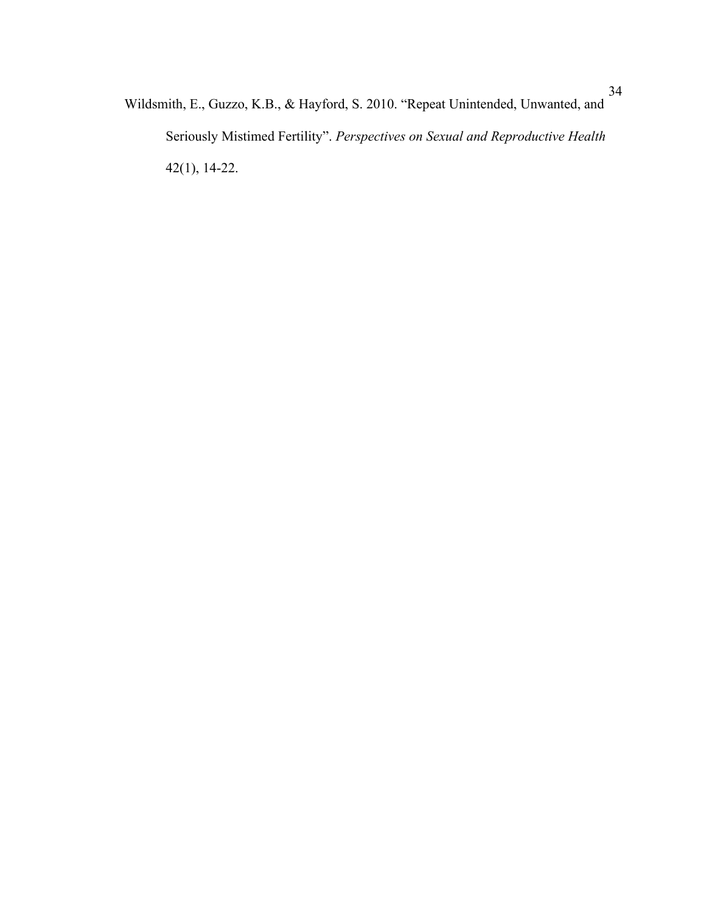Wildsmith, E., Guzzo, K.B., & Hayford, S. 2010. "Repeat Unintended, Unwanted, and Seriously Mistimed Fertility". *Perspectives on Sexual and Reproductive Health* 42(1), 14-22.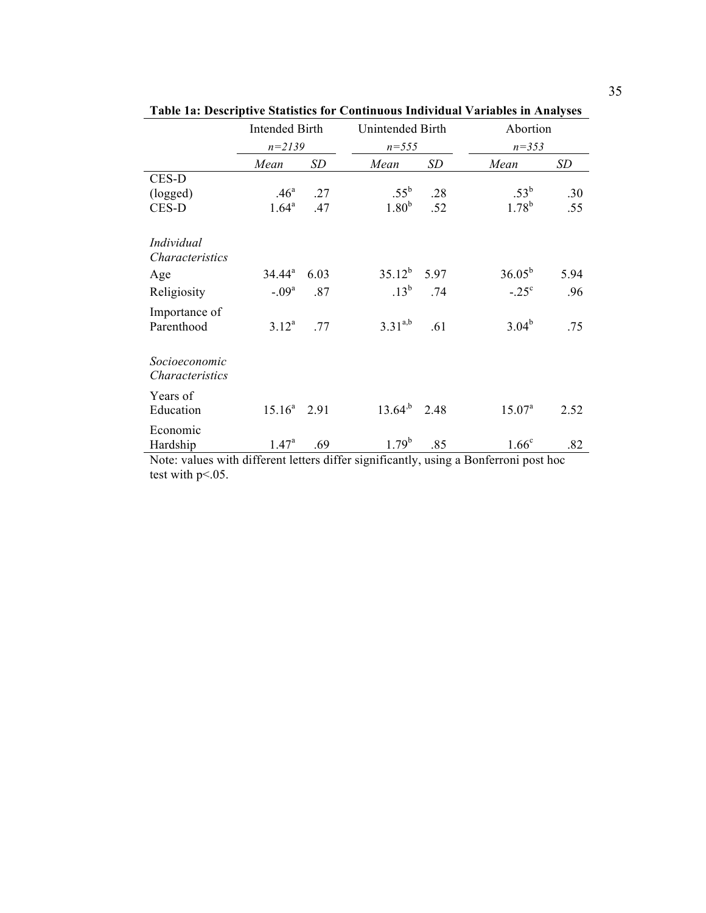|                                                                                       | <b>Intended Birth</b>           |      | Unintended Birth            |           | Abortion                                                    |      |  |
|---------------------------------------------------------------------------------------|---------------------------------|------|-----------------------------|-----------|-------------------------------------------------------------|------|--|
|                                                                                       | $n = 2139$                      |      | $n = 555$                   |           | $n = 353$                                                   |      |  |
|                                                                                       | Mean                            | SD   | Mean                        | <b>SD</b> | Mean                                                        | SD   |  |
| CES-D                                                                                 |                                 |      |                             |           |                                                             |      |  |
| (logged)                                                                              | .46 <sup>a</sup>                | .27  | $.55^{\rm b}$               | .28       | $.53^{\rm b}$                                               | .30  |  |
| CES-D                                                                                 | $1.64^{\rm a}$                  | .47  | 1.80 <sup>b</sup>           | .52       | $1.78^{b}$                                                  | .55  |  |
| Individual                                                                            |                                 |      |                             |           |                                                             |      |  |
| <i>Characteristics</i>                                                                |                                 |      |                             |           |                                                             |      |  |
| Age                                                                                   | $34.44^a$                       | 6.03 | $35.12^b$                   | 5.97      | $36.05^{b}$                                                 | 5.94 |  |
| Religiosity                                                                           | $-.09a$                         | .87  | $.13^{b}$                   | .74       | $-.25^{\circ}$                                              | .96  |  |
| Importance of                                                                         |                                 |      |                             |           |                                                             |      |  |
| Parenthood                                                                            | $3.12^{a}$                      | .77  | $3.31^{a,b}$                | .61       | $3.04^{b}$                                                  | .75  |  |
| Socioeconomic<br>Characteristics                                                      |                                 |      |                             |           |                                                             |      |  |
| Years of<br>Education                                                                 | $15.16^a$                       | 2.91 | $13.64^{b}$                 | 2.48      | $15.07^a$                                                   | 2.52 |  |
| Economic<br>Hardship<br>$\mathbf{M}$ = 4 = $\mathbf{L}$ = $\mathbf{L}$ = $\mathbf{L}$ | $1.47^{\circ}$<br>$1.1 - 11.00$ | .69  | $1.79^{b}$<br>$10.1 \pm 11$ | .85       | 1.66 <sup>c</sup><br>$\mathbf{D} \cdot \mathbf{C}$<br>$-11$ | .82  |  |

**Table 1a: Descriptive Statistics for Continuous Individual Variables in Analyses**

Note: values with different letters differ significantly, using a Bonferroni post hoc test with p<.05.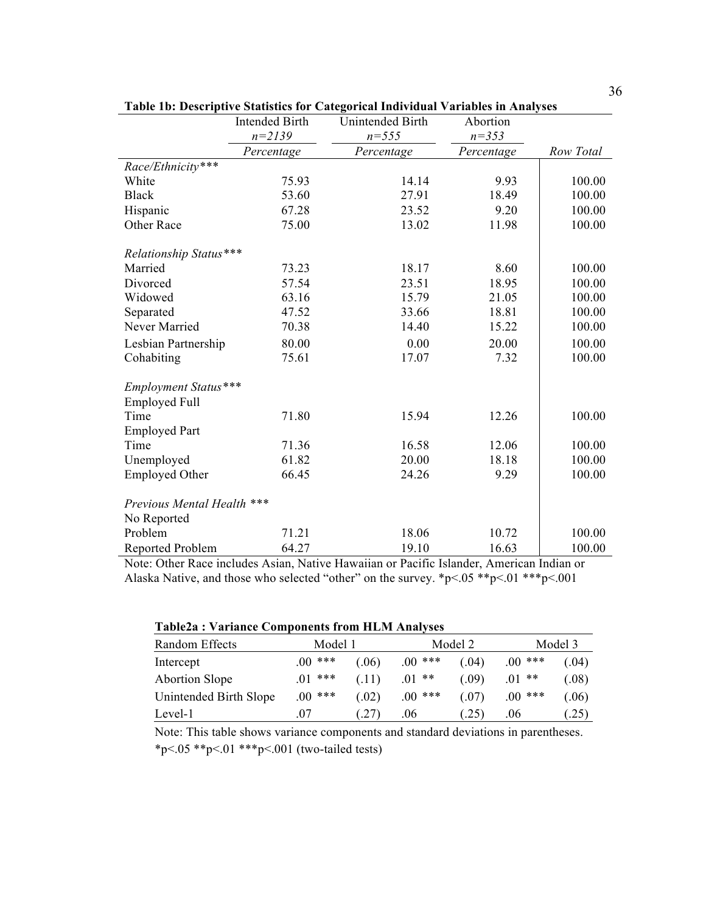|                            | <b>Intended Birth</b> | Unintended Birth | Abortion   |           |
|----------------------------|-----------------------|------------------|------------|-----------|
|                            | $n = 2139$            | $n = 555$        | $n = 353$  |           |
|                            | Percentage            | Percentage       | Percentage | Row Total |
| Race/Ethnicity***          |                       |                  |            |           |
| White                      | 75.93                 | 14.14            | 9.93       | 100.00    |
| <b>Black</b>               | 53.60                 | 27.91            | 18.49      | 100.00    |
| Hispanic                   | 67.28                 | 23.52            | 9.20       | 100.00    |
| Other Race                 | 75.00                 | 13.02            | 11.98      | 100.00    |
| Relationship Status***     |                       |                  |            |           |
| Married                    | 73.23                 | 18.17            | 8.60       | 100.00    |
| Divorced                   | 57.54                 | 23.51            | 18.95      | 100.00    |
| Widowed                    | 63.16                 | 15.79            | 21.05      | 100.00    |
| Separated                  | 47.52                 | 33.66            | 18.81      | 100.00    |
| Never Married              | 70.38                 | 14.40            | 15.22      | 100.00    |
| Lesbian Partnership        | 80.00                 | 0.00             | 20.00      | 100.00    |
| Cohabiting                 | 75.61                 | 17.07            | 7.32       | 100.00    |
| Employment Status***       |                       |                  |            |           |
| <b>Employed Full</b>       |                       |                  |            |           |
| Time                       | 71.80                 | 15.94            | 12.26      | 100.00    |
| <b>Employed Part</b>       |                       |                  |            |           |
| Time                       | 71.36                 | 16.58            | 12.06      | 100.00    |
| Unemployed                 | 61.82                 | 20.00            | 18.18      | 100.00    |
| <b>Employed Other</b>      | 66.45                 | 24.26            | 9.29       | 100.00    |
| Previous Mental Health *** |                       |                  |            |           |
| No Reported                |                       |                  |            |           |
| Problem                    | 71.21                 | 18.06            | 10.72      | 100.00    |
| Reported Problem           | 64.27                 | 19.10            | 16.63      | 100.00    |

**Table 1b: Descriptive Statistics for Categorical Individual Variables in Analyses**

Note: Other Race includes Asian, Native Hawaiian or Pacific Islander, American Indian or Alaska Native, and those who selected "other" on the survey. \*p<.05 \*\*p<.01 \*\*\*p<.001

| <b>Table2a: Variance Components from HLM Analyses</b> |  |  |  |  |  |
|-------------------------------------------------------|--|--|--|--|--|
|-------------------------------------------------------|--|--|--|--|--|

| Random Effects         | Model 1 |       |           | Model 2 |          | Model 3         |  |
|------------------------|---------|-------|-----------|---------|----------|-----------------|--|
| Intercept              | $00***$ | (.06) | $0.00***$ | (04)    | $.00***$ | (0.04)          |  |
| <b>Abortion Slope</b>  | ***     | (.11) | **        | (09)    | **       | (0.08)          |  |
| Unintended Birth Slope | $00***$ | (.02) | $0.00***$ | (07)    | $.00***$ | 06 <sub>0</sub> |  |
| Level-1                | .07     | (.27) | .06       | .25)    | .06      | .25)            |  |

Note: This table shows variance components and standard deviations in parentheses. \*p<.05 \*\*p<.01 \*\*\*p<.001 (two-tailed tests)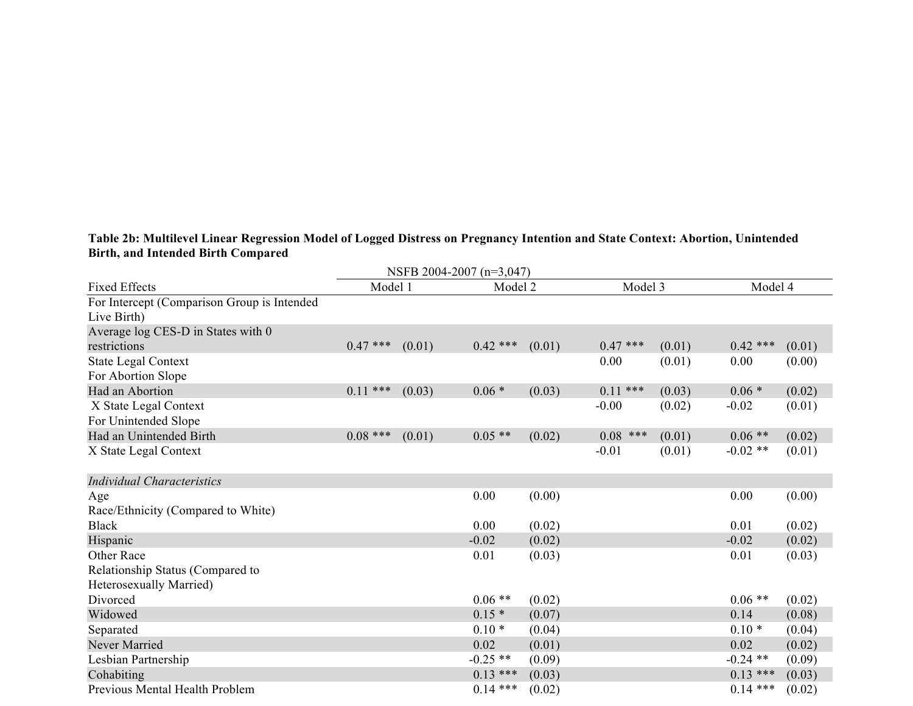## **Table 2b: Multilevel Linear Regression Model of Logged Distress on Pregnancy Intention and State Context: Abortion, Unintended Birth, and Intended Birth Compared**

| NSFB 2004-2007 (n=3,047)                    |            |        |            |        |             |        |            |        |  |  |
|---------------------------------------------|------------|--------|------------|--------|-------------|--------|------------|--------|--|--|
| <b>Fixed Effects</b>                        | Model 1    |        | Model 2    |        | Model 3     |        | Model 4    |        |  |  |
| For Intercept (Comparison Group is Intended |            |        |            |        |             |        |            |        |  |  |
| Live Birth)                                 |            |        |            |        |             |        |            |        |  |  |
| Average log CES-D in States with 0          |            |        |            |        |             |        |            |        |  |  |
| restrictions                                | $0.47$ *** | (0.01) | $0.42$ *** | (0.01) | $0.47$ ***  | (0.01) | $0.42$ *** | (0.01) |  |  |
| <b>State Legal Context</b>                  |            |        |            |        | 0.00        | (0.01) | 0.00       | (0.00) |  |  |
| For Abortion Slope                          |            |        |            |        |             |        |            |        |  |  |
| Had an Abortion                             | $0.11$ *** | (0.03) | $0.06*$    | (0.03) | ***<br>0.11 | (0.03) | $0.06*$    | (0.02) |  |  |
| X State Legal Context                       |            |        |            |        | $-0.00$     | (0.02) | $-0.02$    | (0.01) |  |  |
| For Unintended Slope                        |            |        |            |        |             |        |            |        |  |  |
| Had an Unintended Birth                     | $0.08$ *** | (0.01) | $0.05**$   | (0.02) | $0.08$ ***  | (0.01) | $0.06$ **  | (0.02) |  |  |
| X State Legal Context                       |            |        |            |        | $-0.01$     | (0.01) | $-0.02$ ** | (0.01) |  |  |
| <b>Individual Characteristics</b>           |            |        |            |        |             |        |            |        |  |  |
| Age                                         |            |        | 0.00       | (0.00) |             |        | 0.00       | (0.00) |  |  |
| Race/Ethnicity (Compared to White)          |            |        |            |        |             |        |            |        |  |  |
| <b>Black</b>                                |            |        | 0.00       | (0.02) |             |        | 0.01       | (0.02) |  |  |
| Hispanic                                    |            |        | $-0.02$    | (0.02) |             |        | $-0.02$    | (0.02) |  |  |
| Other Race                                  |            |        | 0.01       | (0.03) |             |        | 0.01       | (0.03) |  |  |
| Relationship Status (Compared to            |            |        |            |        |             |        |            |        |  |  |
| Heterosexually Married)                     |            |        |            |        |             |        |            |        |  |  |
| Divorced                                    |            |        | $0.06**$   | (0.02) |             |        | $0.06**$   | (0.02) |  |  |
| Widowed                                     |            |        | $0.15*$    | (0.07) |             |        | 0.14       | (0.08) |  |  |
| Separated                                   |            |        | $0.10*$    | (0.04) |             |        | $0.10*$    | (0.04) |  |  |
| Never Married                               |            |        | 0.02       | (0.01) |             |        | 0.02       | (0.02) |  |  |
| Lesbian Partnership                         |            |        | $-0.25$ ** | (0.09) |             |        | $-0.24$ ** | (0.09) |  |  |
| Cohabiting                                  |            |        | $0.13***$  | (0.03) |             |        | $0.13$ *** | (0.03) |  |  |
| Previous Mental Health Problem              |            |        | $0.14$ *** | (0.02) |             |        | $0.14$ *** | (0.02) |  |  |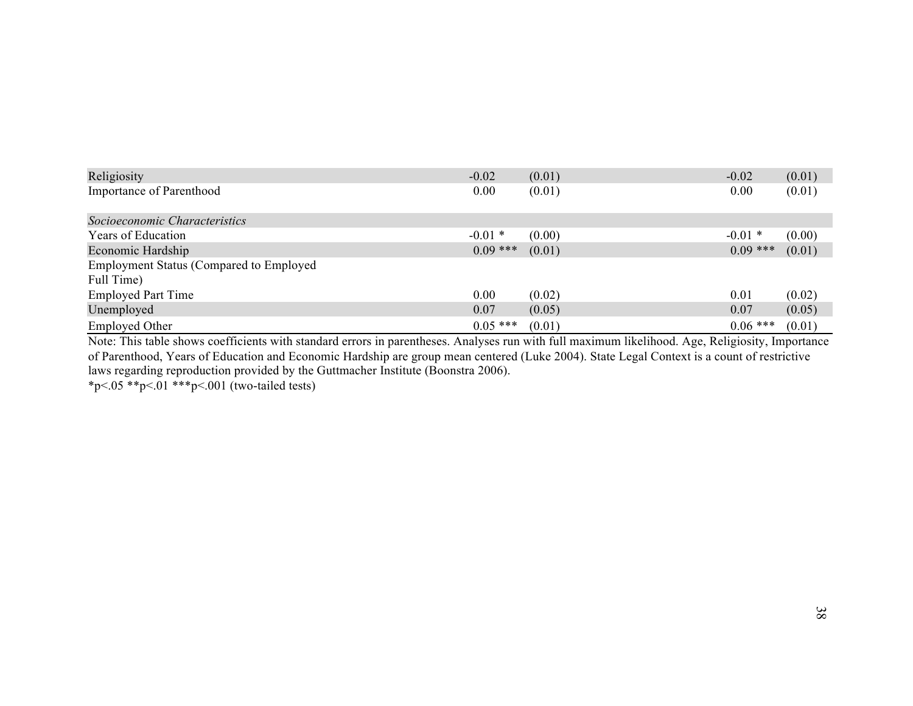| Religiosity                                     | $-0.02$    | (0.01) | $-0.02$    | (0.01) |
|-------------------------------------------------|------------|--------|------------|--------|
| <b>Importance of Parenthood</b>                 | 0.00       | (0.01) | 0.00       | (0.01) |
| Socioeconomic Characteristics                   |            |        |            |        |
| Years of Education                              | $-0.01*$   | (0.00) | $-0.01*$   | (0.00) |
| Economic Hardship                               | $0.09$ *** | (0.01) | $0.09$ *** | (0.01) |
| <b>Employment Status (Compared to Employed)</b> |            |        |            |        |
| Full Time)                                      |            |        |            |        |
| <b>Employed Part Time</b>                       | 0.00       | (0.02) | 0.01       | (0.02) |
| Unemployed                                      | 0.07       | (0.05) | 0.07       | (0.05) |
| <b>Employed Other</b>                           | $0.05$ *** | (0.01) | $0.06$ *** | (0.01) |

Note: This table shows coefficients with standard errors in parentheses. Analyses run with full maximum likelihood. Age, Religiosity, Importance of Parenthood, Years of Education and Economic Hardship are group mean centered (Luke 2004). State Legal Context is a count of restrictive laws regarding reproduction provided by the Guttmacher Institute (Boonstra 2006).

\*p<.05 \*\*p<.01 \*\*\*p<.001 (two-tailed tests)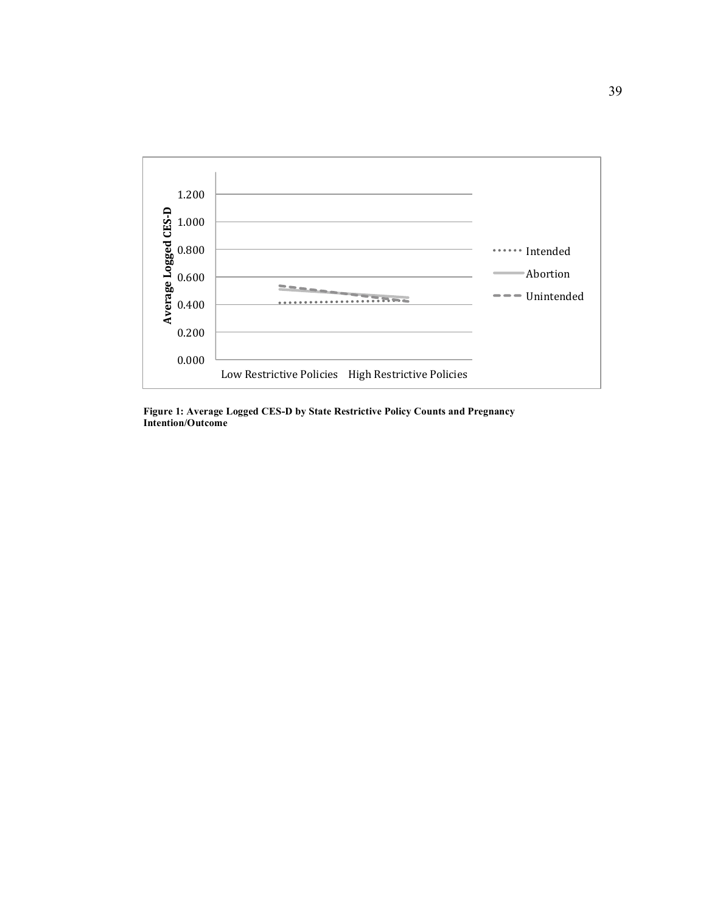

**Figure 1: Average Logged CES-D by State Restrictive Policy Counts and Pregnancy Intention/Outcome**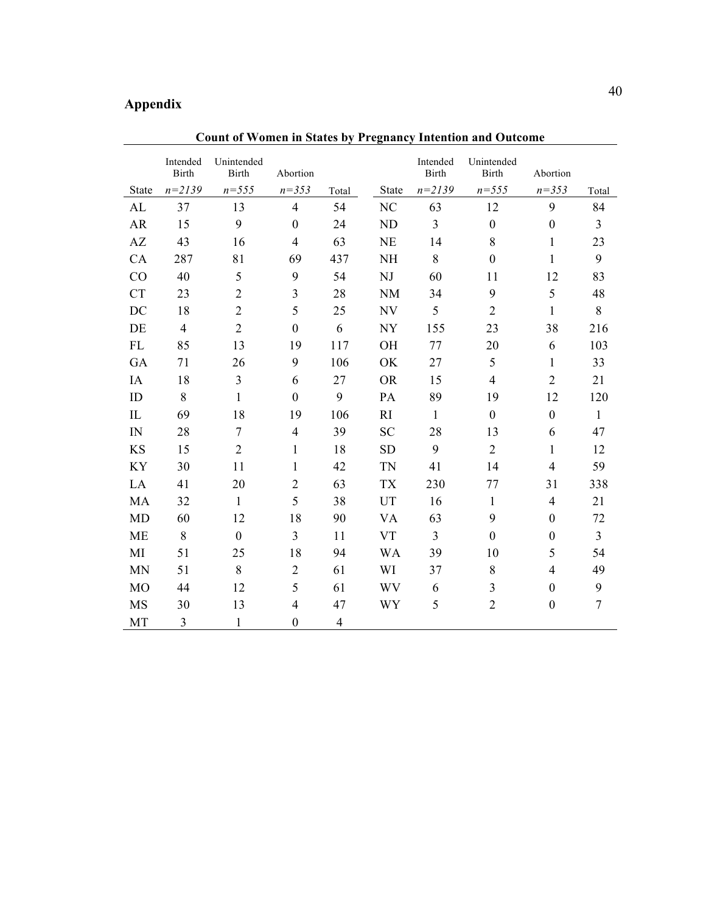## **Appendix**

|                | Intended<br><b>Birth</b> | Unintended<br><b>Birth</b> | Abortion         |                |              | Intended<br><b>Birth</b> | Unintended<br><b>Birth</b> | Abortion         |                  |
|----------------|--------------------------|----------------------------|------------------|----------------|--------------|--------------------------|----------------------------|------------------|------------------|
| <b>State</b>   | $n=2139$                 | $n = 555$                  | $n = 353$        | Total          | <b>State</b> | $n = 2139$               | $n = 555$                  | $n = 353$        | Total            |
| AL             | 37                       | 13                         | $\overline{4}$   | 54             | NC           | 63                       | 12                         | 9                | 84               |
| AR             | 15                       | 9                          | $\boldsymbol{0}$ | 24             | <b>ND</b>    | 3                        | $\boldsymbol{0}$           | $\mathbf{0}$     | 3                |
| AZ             | 43                       | 16                         | $\overline{4}$   | 63             | <b>NE</b>    | 14                       | 8                          | 1                | 23               |
| CA             | 287                      | 81                         | 69               | 437            | <b>NH</b>    | 8                        | $\boldsymbol{0}$           | $\mathbf{1}$     | 9                |
| CO             | 40                       | 5                          | 9                | 54             | NJ           | 60                       | 11                         | 12               | 83               |
| <b>CT</b>      | 23                       | $\overline{2}$             | 3                | 28             | <b>NM</b>    | 34                       | 9                          | 5                | 48               |
| DC             | 18                       | $\overline{2}$             | 5                | 25             | NV           | 5                        | $\overline{2}$             | $\mathbf{1}$     | 8                |
| DE             | $\overline{4}$           | $\overline{2}$             | $\boldsymbol{0}$ | 6              | <b>NY</b>    | 155                      | 23                         | 38               | 216              |
| FL             | 85                       | 13                         | 19               | 117            | OH           | 77                       | 20                         | 6                | 103              |
| GA             | 71                       | 26                         | 9                | 106            | OK           | 27                       | 5                          | $\mathbf{1}$     | 33               |
| IA             | 18                       | 3                          | 6                | 27             | <b>OR</b>    | 15                       | $\overline{4}$             | $\overline{2}$   | 21               |
| ID             | 8                        | $\mathbf{1}$               | $\boldsymbol{0}$ | 9              | PA           | 89                       | 19                         | 12               | 120              |
| IL             | 69                       | 18                         | 19               | 106            | RI           | $\mathbf{1}$             | $\mathbf{0}$               | $\boldsymbol{0}$ | $\mathbf{1}$     |
| IN             | 28                       | $\tau$                     | $\overline{4}$   | 39             | <b>SC</b>    | 28                       | 13                         | 6                | 47               |
| <b>KS</b>      | 15                       | $\overline{2}$             | 1                | 18             | <b>SD</b>    | 9                        | $\overline{2}$             | 1                | 12               |
| <b>KY</b>      | 30                       | 11                         | $\mathbf{1}$     | 42             | <b>TN</b>    | 41                       | 14                         | $\overline{4}$   | 59               |
| LA             | 41                       | 20                         | $\overline{2}$   | 63             | <b>TX</b>    | 230                      | 77                         | 31               | 338              |
| MA             | 32                       | $\mathbf{1}$               | 5                | 38             | UT           | 16                       | $\mathbf{1}$               | $\overline{4}$   | 21               |
| <b>MD</b>      | 60                       | 12                         | 18               | 90             | <b>VA</b>    | 63                       | 9                          | $\mathbf{0}$     | 72               |
| <b>ME</b>      | 8                        | $\mathbf{0}$               | 3                | 11             | <b>VT</b>    | $\overline{3}$           | $\boldsymbol{0}$           | $\boldsymbol{0}$ | 3                |
| MI             | 51                       | 25                         | 18               | 94             | <b>WA</b>    | 39                       | 10                         | 5                | 54               |
| <b>MN</b>      | 51                       | 8                          | $\overline{2}$   | 61             | WI           | 37                       | 8                          | $\overline{4}$   | 49               |
| M <sub>O</sub> | 44                       | 12                         | 5                | 61             | WV           | 6                        | 3                          | $\mathbf{0}$     | 9                |
| <b>MS</b>      | 30                       | 13                         | $\overline{4}$   | 47             | <b>WY</b>    | 5                        | $\overline{2}$             | $\boldsymbol{0}$ | $\boldsymbol{7}$ |
| MT             | 3                        | $\mathbf{1}$               | $\boldsymbol{0}$ | $\overline{4}$ |              |                          |                            |                  |                  |

**Count of Women in States by Pregnancy Intention and Outcome**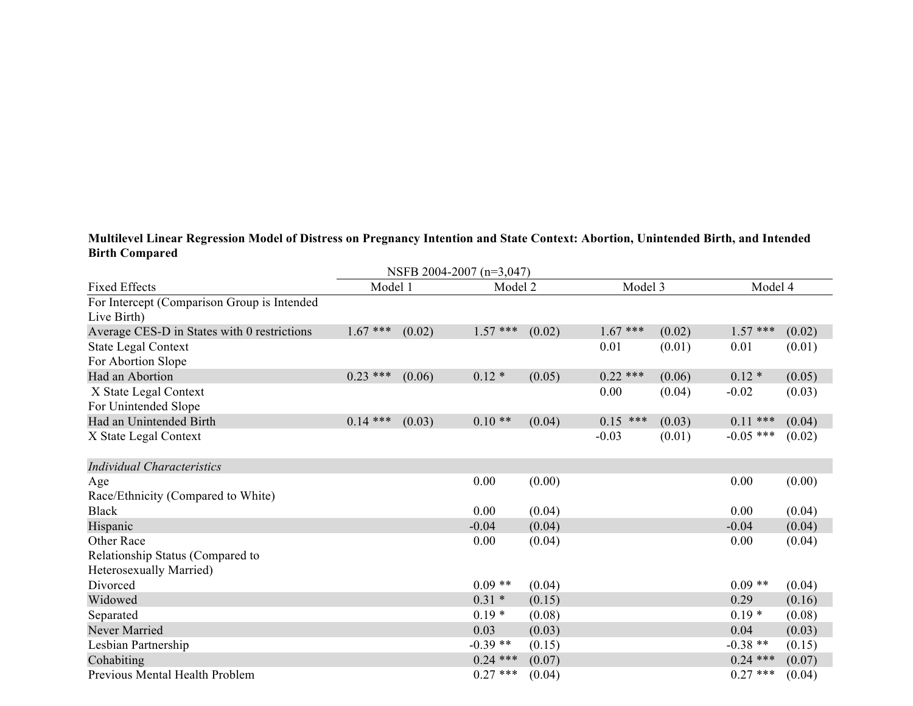## **Multilevel Linear Regression Model of Distress on Pregnancy Intention and State Context: Abortion, Unintended Birth, and Intended Birth Compared**

| NSFB 2004-2007 (n=3,047)                    |            |        |            |        |             |        |             |        |  |
|---------------------------------------------|------------|--------|------------|--------|-------------|--------|-------------|--------|--|
| <b>Fixed Effects</b>                        | Model 1    |        | Model 2    |        | Model 3     |        | Model 4     |        |  |
| For Intercept (Comparison Group is Intended |            |        |            |        |             |        |             |        |  |
| Live Birth)                                 |            |        |            |        |             |        |             |        |  |
| Average CES-D in States with 0 restrictions | $1.67***$  | (0.02) | $1.57$ *** | (0.02) | $1.67***$   | (0.02) | $1.57$ ***  | (0.02) |  |
| <b>State Legal Context</b>                  |            |        |            |        | 0.01        | (0.01) | 0.01        | (0.01) |  |
| For Abortion Slope                          |            |        |            |        |             |        |             |        |  |
| Had an Abortion                             | $0.23$ *** | (0.06) | $0.12*$    | (0.05) | $0.22$ ***  | (0.06) | $0.12*$     | (0.05) |  |
| X State Legal Context                       |            |        |            |        | 0.00        | (0.04) | $-0.02$     | (0.03) |  |
| For Unintended Slope                        |            |        |            |        |             |        |             |        |  |
| Had an Unintended Birth                     | $0.14$ *** | (0.03) | $0.10**$   | (0.04) | ***<br>0.15 | (0.03) | $0.11***$   | (0.04) |  |
| X State Legal Context                       |            |        |            |        | $-0.03$     | (0.01) | $-0.05$ *** | (0.02) |  |
|                                             |            |        |            |        |             |        |             |        |  |
| <b>Individual Characteristics</b>           |            |        |            |        |             |        |             |        |  |
| Age                                         |            |        | 0.00       | (0.00) |             |        | 0.00        | (0.00) |  |
| Race/Ethnicity (Compared to White)          |            |        |            |        |             |        |             |        |  |
| <b>Black</b>                                |            |        | 0.00       | (0.04) |             |        | 0.00        | (0.04) |  |
| Hispanic                                    |            |        | $-0.04$    | (0.04) |             |        | $-0.04$     | (0.04) |  |
| Other Race                                  |            |        | 0.00       | (0.04) |             |        | 0.00        | (0.04) |  |
| Relationship Status (Compared to            |            |        |            |        |             |        |             |        |  |
| Heterosexually Married)                     |            |        |            |        |             |        |             |        |  |
| Divorced                                    |            |        | $0.09**$   | (0.04) |             |        | $0.09**$    | (0.04) |  |
| Widowed                                     |            |        | $0.31 *$   | (0.15) |             |        | 0.29        | (0.16) |  |
| Separated                                   |            |        | $0.19*$    | (0.08) |             |        | $0.19*$     | (0.08) |  |
| Never Married                               |            |        | 0.03       | (0.03) |             |        | 0.04        | (0.03) |  |
| Lesbian Partnership                         |            |        | $-0.39**$  | (0.15) |             |        | $-0.38**$   | (0.15) |  |
| Cohabiting                                  |            |        | $0.24$ *** | (0.07) |             |        | $0.24$ ***  | (0.07) |  |
| Previous Mental Health Problem              |            |        | $0.27$ *** | (0.04) |             |        | $0.27$ ***  | (0.04) |  |